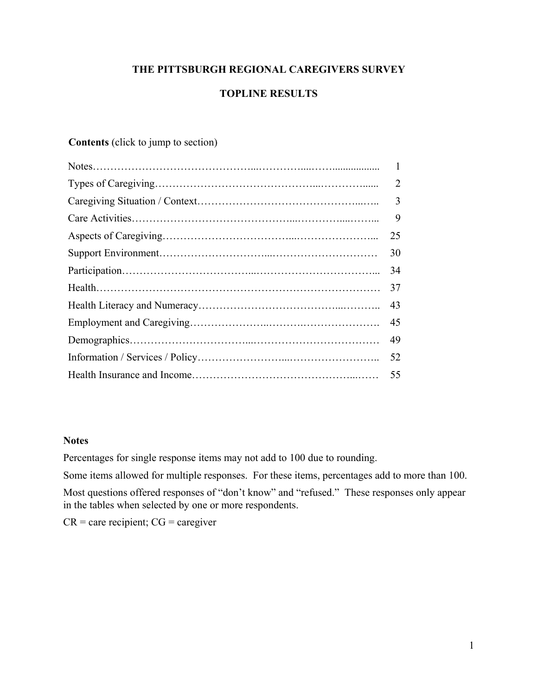# **THE PITTSBURGH REGIONAL CAREGIVERS SURVEY**

# **TOPLINE RESULTS**

# **Contents** (click to jump to section)

| $\mathbf{1}$ |
|--------------|
| 2            |
| 3            |
| 9            |
| 25           |
| 30           |
| 34           |
| 37           |
| 43           |
| 45           |
| 49           |
| 52           |
| 55           |

## **Notes**

Percentages for single response items may not add to 100 due to rounding.

Some items allowed for multiple responses. For these items, percentages add to more than 100.

Most questions offered responses of "don't know" and "refused." These responses only appear in the tables when selected by one or more respondents.

 $CR =$  care recipient;  $CG =$  caregiver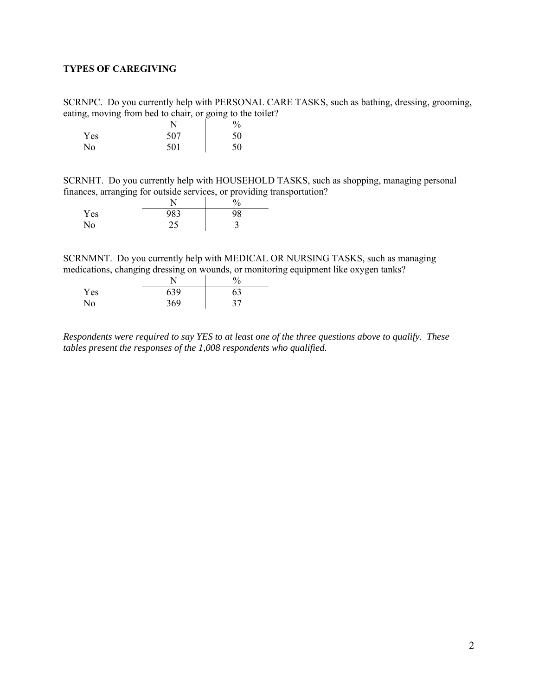## <span id="page-1-0"></span>**TYPES OF CAREGIVING**

SCRNPC. Do you currently help with PERSONAL CARE TASKS, such as bathing, dressing, grooming, eating, moving from bed to chair, or going to the toilet?

|     |     | $\frac{0}{0}$ |
|-----|-----|---------------|
| Yes | 507 | 50            |
| No  | 501 | 50            |

SCRNHT. Do you currently help with HOUSEHOLD TASKS, such as shopping, managing personal finances, arranging for outside services, or providing transportation?

|     |     | 0/<br>′0 |
|-----|-----|----------|
| Yes | 983 | 98       |
| No  | 25  |          |

SCRNMNT. Do you currently help with MEDICAL OR NURSING TASKS, such as managing medications, changing dressing on wounds, or monitoring equipment like oxygen tanks?

|     |     | 0/ |
|-----|-----|----|
| Yes | 639 | 63 |
| No  | 369 | 37 |

*Respondents were required to say YES to at least one of the three questions above to qualify. These tables present the responses of the 1,008 respondents who qualified.*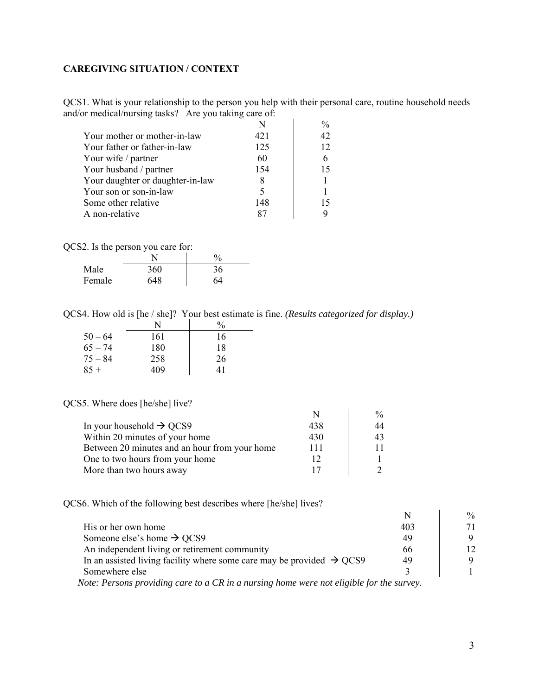## <span id="page-2-0"></span>**CAREGIVING SITUATION / CONTEXT**

QCS1. What is your relationship to the person you help with their personal care, routine household needs and/or medical/nursing tasks? Are you taking care of:

|                                  |     | $\frac{0}{0}$ |
|----------------------------------|-----|---------------|
| Your mother or mother-in-law     | 421 |               |
| Your father or father-in-law     | 125 | 12            |
| Your wife / partner              | 60  |               |
| Your husband / partner           | 154 | 15            |
| Your daughter or daughter-in-law |     |               |
| Your son or son-in-law           |     |               |
| Some other relative              | 148 | 15            |
| A non-relative                   |     |               |

QCS2. Is the person you care for:

|        |     | $\%$ |
|--------|-----|------|
| Male   | 360 | 36   |
| Female | 648 | 64   |

QCS4. How old is [he / she]? Your best estimate is fine. *(Results categorized for display.)*

|           | N   | $\frac{0}{0}$ |
|-----------|-----|---------------|
| $50 - 64$ | 161 | 16            |
| $65 - 74$ | 180 | 18            |
| $75 - 84$ | 258 | 26            |
| $85 +$    | 409 | 41            |

#### QCS5. Where does [he/she] live?

|                                               |     | $\frac{0}{0}$ |
|-----------------------------------------------|-----|---------------|
| In your household $\rightarrow$ QCS9          | 438 | 44            |
| Within 20 minutes of your home                | 430 | 43            |
| Between 20 minutes and an hour from your home | 111 | 11            |
| One to two hours from your home               |     |               |
| More than two hours away                      |     |               |

QCS6. Which of the following best describes where [he/she] lives?

| His or her own home                                                                                                                                                                                                                                                                                                                         | 403 |  |
|---------------------------------------------------------------------------------------------------------------------------------------------------------------------------------------------------------------------------------------------------------------------------------------------------------------------------------------------|-----|--|
| Someone else's home $\rightarrow$ QCS9                                                                                                                                                                                                                                                                                                      | 49  |  |
| An independent living or retirement community                                                                                                                                                                                                                                                                                               | 66  |  |
| In an assisted living facility where some care may be provided $\rightarrow$ QCS9                                                                                                                                                                                                                                                           | 49  |  |
| Somewhere else                                                                                                                                                                                                                                                                                                                              |     |  |
| $N_{i+1}, p_{i+1}, p_{i+1}, p_{i+1}, p_{i+1}, p_{i+1}, p_{i+1}, p_{i+1}, p_{i+1}, p_{i+1}, p_{i+1}, p_{i+1}, p_{i+1}, p_{i+1}, p_{i+1}, p_{i+1}, p_{i+1}, p_{i+1}, p_{i+1}, p_{i+1}, p_{i+1}, p_{i+1}, p_{i+1}, p_{i+1}, p_{i+1}, p_{i+1}, p_{i+1}, p_{i+1}, p_{i+1}, p_{i+1}, p_{i+1}, p_{i+1}, p_{i+1}, p_{i+1}, p_{i+1}, p_{i+1}, p_{i+$ |     |  |

 *Note: Persons providing care to a CR in a nursing home were not eligible for the survey.*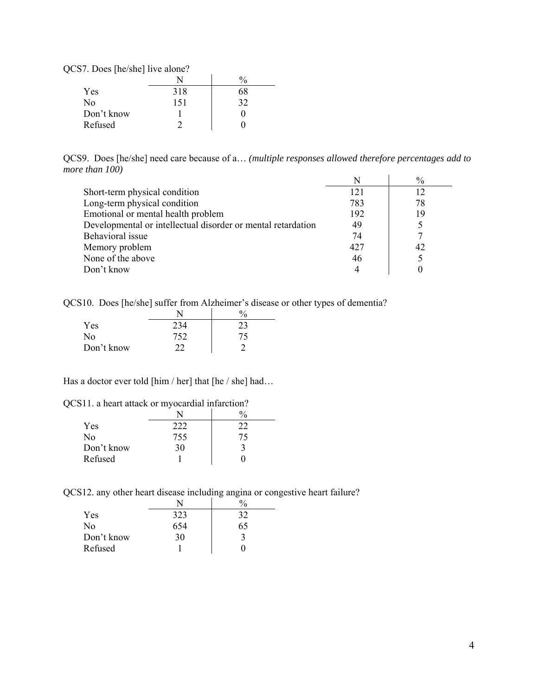| S7. Does [he/she] live alone? |     |               |
|-------------------------------|-----|---------------|
|                               |     | $\frac{0}{0}$ |
| Yes                           | 318 | 68            |
| No                            | 151 | 32            |
| Don't know                    |     |               |
| Refused                       |     |               |

QCS9. Does [he/she] need care because of a… *(multiple responses allowed therefore percentages add to more than 100)* 

|                                                              | N   | $\%$ |
|--------------------------------------------------------------|-----|------|
| Short-term physical condition                                | 121 | 12   |
| Long-term physical condition                                 | 783 | 78   |
| Emotional or mental health problem                           | 192 | 19   |
| Developmental or intellectual disorder or mental retardation | 49  |      |
| Behavioral issue                                             | 74  | 7    |
| Memory problem                                               | 427 | 42   |
| None of the above                                            | 46  |      |
| Don't know                                                   | 4   |      |

QCS10. Does [he/she] suffer from Alzheimer's disease or other types of dementia?

| Yes        | 234 | 23  |
|------------|-----|-----|
| No         | 752 | 75. |
| Don't know | າາ  |     |

Has a doctor ever told [him / her] that [he / she] had...

|  | QCS11. a heart attack or myocardial infarction? |  |
|--|-------------------------------------------------|--|
|  |                                                 |  |

| Yes        | 222 | フフ |
|------------|-----|----|
| No         | 755 | 15 |
| Don't know | 30  |    |
| Refused    |     |    |

QCS12. any other heart disease including angina or congestive heart failure?

| Yes        | 323 | 32 |
|------------|-----|----|
| No         | 654 | 65 |
| Don't know | 30  |    |
| Refused    |     |    |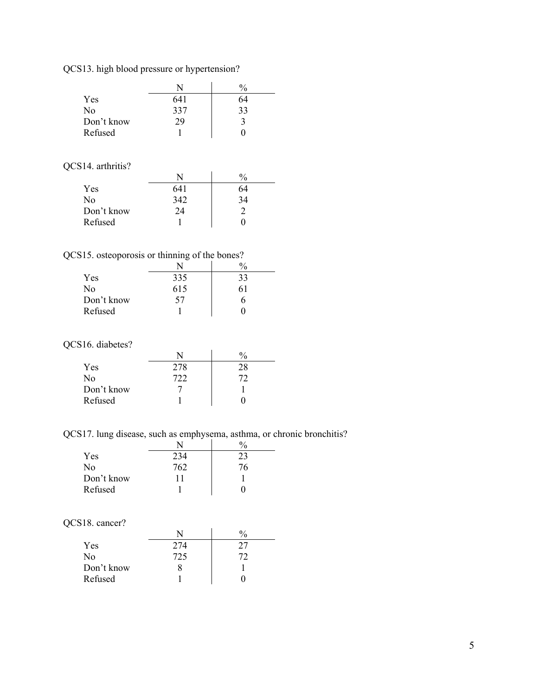QCS13. high blood pressure or hypertension?

|            |     | $\frac{0}{0}$ |
|------------|-----|---------------|
| Yes        | 641 | 64            |
| No         | 337 | 33            |
| Don't know | 29  |               |
| Refused    |     |               |

## QCS14. arthritis?

| Yes        | 641 | 64 |
|------------|-----|----|
| No         | 342 | 34 |
| Don't know | 24  |    |
| Refused    |     |    |

QCS15. osteoporosis or thinning of the bones?

| $\sim$     |     | 'n  |
|------------|-----|-----|
| Yes        | 335 | 33  |
| No         | 615 | 6 I |
| Don't know | 57  |     |
| Refused    |     |     |

## QCS16. diabetes?

|            |     | $^{0/0}$ |
|------------|-----|----------|
| Yes        | 278 | 28       |
| No         | 722 |          |
| Don't know |     |          |
| Refused    |     |          |

QCS17. lung disease, such as emphysema, asthma, or chronic bronchitis?

| Yes        | 234 | 23 |
|------------|-----|----|
| No         | 762 | 76 |
| Don't know |     |    |
| Refused    |     |    |

## QCS18. cancer?

| Yes        | 274 |    |
|------------|-----|----|
| No         | 725 | 77 |
| Don't know |     |    |
| Refused    |     |    |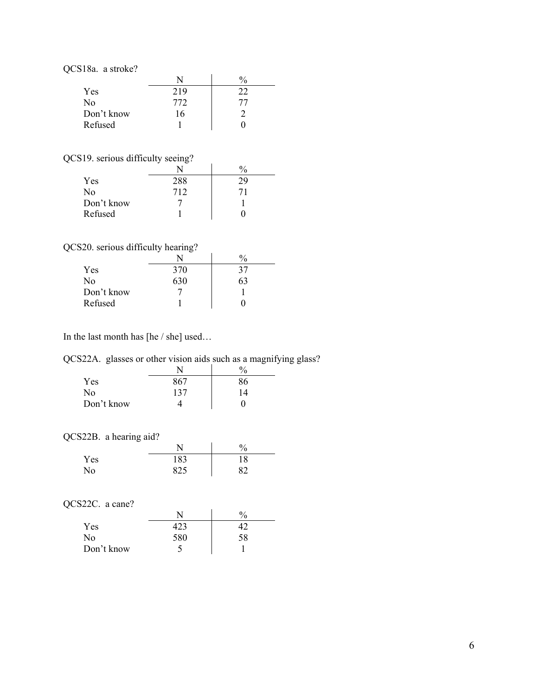| Yes        | 219 | フフ |
|------------|-----|----|
| No         | 772 |    |
| Don't know | 16  |    |
| Refused    |     |    |

# QCS19. serious difficulty seeing?

|            |     | $\frac{0}{0}$ |
|------------|-----|---------------|
| Yes        | 288 |               |
| No         | 712 |               |
| Don't know |     |               |
| Refused    |     |               |

# QCS20. serious difficulty hearing?

|                | N   | $\frac{0}{0}$ |
|----------------|-----|---------------|
| Yes            | 370 | 37            |
| N <sub>0</sub> | 630 | 63            |
| Don't know     |     |               |
| Refused        |     |               |

In the last month has [he / she] used…

QCS22A. glasses or other vision aids such as a magnifying glass?

|            |     | ′∩ |
|------------|-----|----|
| Yes        | 867 | 86 |
| No         | 137 | 14 |
| Don't know |     |    |

# QCS22B. a hearing aid?

|     |            | 0/ |
|-----|------------|----|
| Yes | 183        | 18 |
| No  | 825<br>ں∠ں | QΛ |

# QCS22C. a cane?

|            |     | $\frac{0}{0}$ |
|------------|-----|---------------|
| <b>Yes</b> |     |               |
| No         | 580 | 58            |
| Don't know | ÷.  |               |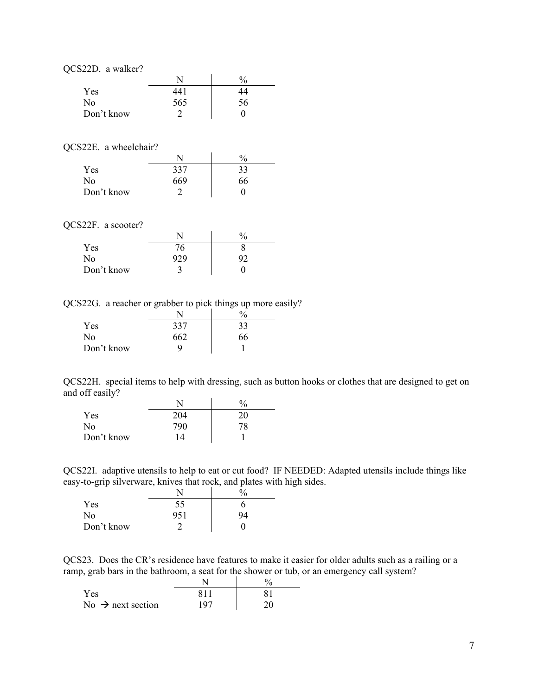| QCS22D. a walker? |     |               |
|-------------------|-----|---------------|
|                   |     | $\frac{0}{0}$ |
| Yes               | 441 | 74            |
| No                | 565 | 56            |
| Don't know        |     |               |

#### QCS22E. a wheelchair?

|            | N   | $^{0}\!/_{0}$ |
|------------|-----|---------------|
| Yes        | 337 | 33            |
| No         | 669 | 66            |
| Don't know |     |               |

 $\ddot{\phantom{a}}$ 

#### QCS22F. a scooter?

| COZZI, a summi |     |          |
|----------------|-----|----------|
|                | N   | $^{0/0}$ |
| <b>Yes</b>     | 76  |          |
| No             | 929 |          |
| Don't know     |     |          |
|                |     |          |

#### QCS22G. a reacher or grabber to pick things up more easily?

|            |     | $^{0}\!/_{0}$ |
|------------|-----|---------------|
| Yes        | 337 | 33            |
| No         | 662 | 66            |
| Don't know | q   |               |

QCS22H. special items to help with dressing, such as button hooks or clothes that are designed to get on and off easily?

|            |     | $\frac{0}{0}$ |
|------------|-----|---------------|
| Yes        | 204 | 20            |
| No         | 790 | 78            |
| Don't know | 14  |               |

QCS22I. adaptive utensils to help to eat or cut food? IF NEEDED: Adapted utensils include things like easy-to-grip silverware, knives that rock, and plates with high sides.

|            |     | $\frac{0}{0}$ |
|------------|-----|---------------|
| Yes        | 55  |               |
| No         | 951 | 94            |
| Don't know |     |               |

QCS23. Does the CR's residence have features to make it easier for older adults such as a railing or a ramp, grab bars in the bathroom, a seat for the shower or tub, or an emergency call system?

| Yes                           | V 1 1 |  |
|-------------------------------|-------|--|
| No $\rightarrow$ next section | 107   |  |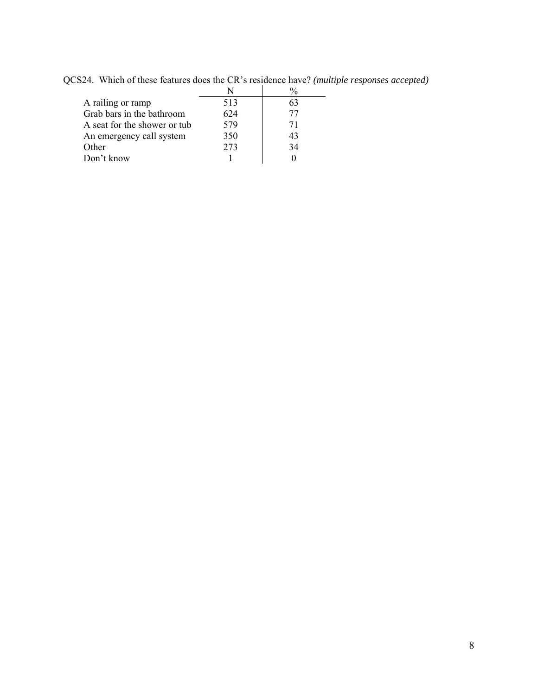|                              | N   | $\frac{0}{0}$ |
|------------------------------|-----|---------------|
| A railing or ramp            | 513 | 63            |
| Grab bars in the bathroom    | 624 | 77            |
| A seat for the shower or tub | 579 | 71            |
| An emergency call system     | 350 | 43            |
| Other                        | 273 | 34            |
| Don't know                   |     |               |

QCS24. Which of these features does the CR's residence have? *(multiple responses accepted)*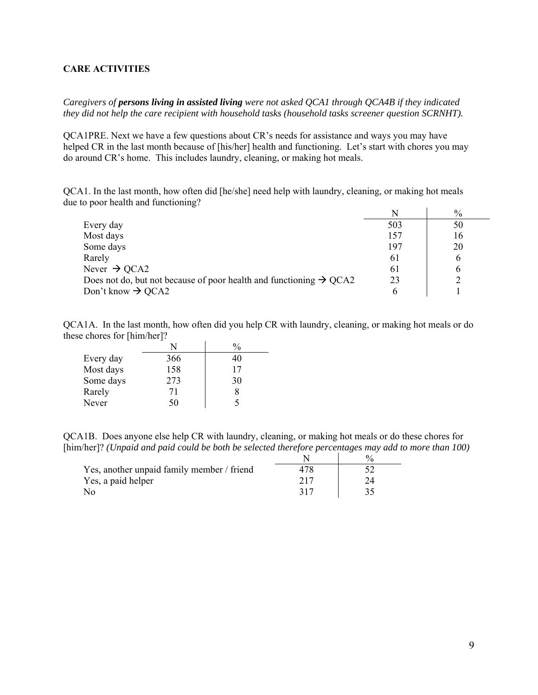#### <span id="page-8-0"></span>**CARE ACTIVITIES**

*Caregivers of persons living in assisted living were not asked QCA1 through QCA4B if they indicated they did not help the care recipient with household tasks (household tasks screener question SCRNHT).* 

QCA1PRE. Next we have a few questions about CR's needs for assistance and ways you may have helped CR in the last month because of [his/her] health and functioning. Let's start with chores you may do around CR's home. This includes laundry, cleaning, or making hot meals.

QCA1. In the last month, how often did [he/she] need help with laundry, cleaning, or making hot meals due to poor health and functioning?

|                                                                                | N   | $\%$ |
|--------------------------------------------------------------------------------|-----|------|
| Every day                                                                      | 503 | 50   |
| Most days                                                                      | 157 | 16   |
| Some days                                                                      | 197 | 20   |
| Rarely                                                                         | 61  | h    |
| Never $\rightarrow$ QCA2                                                       | 61  | h    |
| Does not do, but not because of poor health and functioning $\rightarrow$ QCA2 | 23  |      |
| Don't know $\rightarrow$ QCA2                                                  | h   |      |

QCA1A. In the last month, how often did you help CR with laundry, cleaning, or making hot meals or do these chores for [him/her]?

| Every day | 366 | 40 |
|-----------|-----|----|
| Most days | 158 | 17 |
| Some days | 273 | 30 |
| Rarely    | 71  |    |
| Never     | 50  |    |

QCA1B. Does anyone else help CR with laundry, cleaning, or making hot meals or do these chores for [him/her]? *(Unpaid and paid could be both be selected therefore percentages may add to more than 100)* 

| Yes, another unpaid family member / friend |  |
|--------------------------------------------|--|
| Yes, a paid helper                         |  |
| No                                         |  |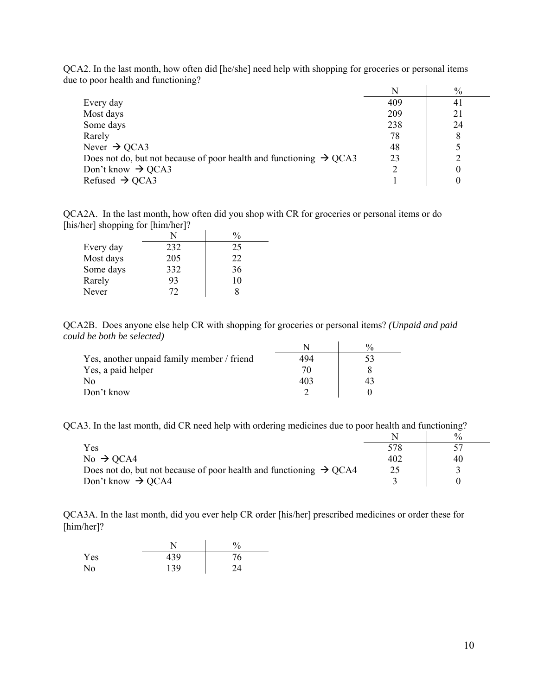|                                                                                |     | $\%$ |
|--------------------------------------------------------------------------------|-----|------|
| Every day                                                                      | 409 | 41   |
| Most days                                                                      | 209 | 21   |
| Some days                                                                      | 238 | 24   |
| Rarely                                                                         | 78  | 8    |
| Never $\rightarrow$ QCA3                                                       | 48  |      |
| Does not do, but not because of poor health and functioning $\rightarrow$ QCA3 | 23  |      |
| Don't know $\rightarrow$ QCA3                                                  |     |      |
| Refused $\rightarrow$ QCA3                                                     |     |      |

QCA2. In the last month, how often did [he/she] need help with shopping for groceries or personal items due to poor health and functioning?

QCA2A. In the last month, how often did you shop with CR for groceries or personal items or do [his/her] shopping for [him/her]?

| Every day | 232 | 25 |
|-----------|-----|----|
| Most days | 205 | 22 |
| Some days | 332 | 36 |
| Rarely    | 93  | 10 |
| Never     | 72  |    |

QCA2B. Does anyone else help CR with shopping for groceries or personal items? *(Unpaid and paid could be both be selected)* 

| Yes, another unpaid family member / friend | 494 |  |
|--------------------------------------------|-----|--|
| Yes, a paid helper                         |     |  |
| No                                         |     |  |
| Don't know                                 |     |  |

QCA3. In the last month, did CR need help with ordering medicines due to poor health and functioning?

|                                                                                |     | 0/2 |
|--------------------------------------------------------------------------------|-----|-----|
| Yes                                                                            | 578 |     |
| No $\rightarrow$ QCA4                                                          | 402 | 40  |
| Does not do, but not because of poor health and functioning $\rightarrow$ QCA4 | 25  |     |
| Don't know $\rightarrow$ QCA4                                                  |     |     |

QCA3A. In the last month, did you ever help CR order [his/her] prescribed medicines or order these for [him/her]?

|     |     | $\%$   |
|-----|-----|--------|
| Yes | 439 | 76     |
| No  | 139 | $2\pi$ |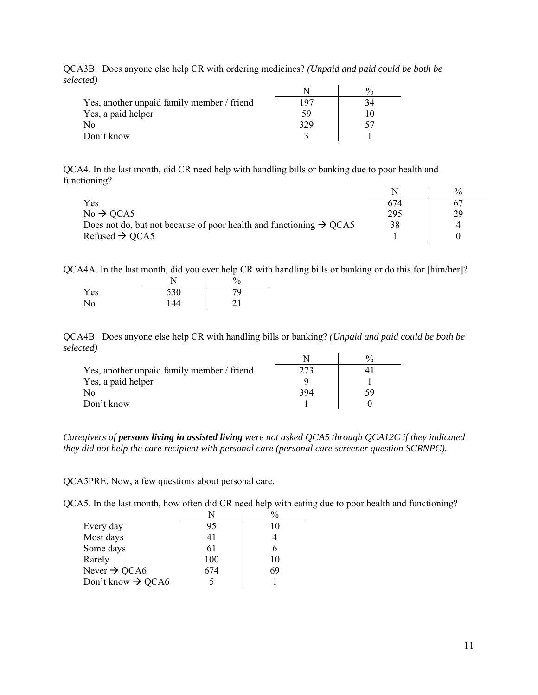|                                            |     | 0/2 |
|--------------------------------------------|-----|-----|
| Yes, another unpaid family member / friend | 197 |     |
| Yes, a paid helper                         | ٢y  |     |
| N <sub>0</sub>                             | 329 |     |
| Don't know                                 |     |     |

QCA3B. Does anyone else help CR with ordering medicines? *(Unpaid and paid could be both be selected)*

QCA4. In the last month, did CR need help with handling bills or banking due to poor health and functioning?

|                                                                                |     | $\frac{0}{0}$ |
|--------------------------------------------------------------------------------|-----|---------------|
| Yes                                                                            | 674 |               |
| $No \rightarrow QCA5$                                                          | 295 | 29            |
| Does not do, but not because of poor health and functioning $\rightarrow$ QCA5 | 38  |               |
| Refused $\rightarrow$ QCA5                                                     |     |               |

QCA4A. In the last month, did you ever help CR with handling bills or banking or do this for [him/her]?

|                |     | $\%$ |
|----------------|-----|------|
| Yes            | 530 | 79   |
| N <sub>0</sub> | 144 | 21   |

QCA4B. Does anyone else help CR with handling bills or banking? *(Unpaid and paid could be both be selected)*

|                                            |     | $^{0}/_{0}$ |
|--------------------------------------------|-----|-------------|
| Yes, another unpaid family member / friend | 273 |             |
| Yes, a paid helper                         |     |             |
| No                                         | 394 | 59          |
| Don't know                                 |     |             |

*Caregivers of persons living in assisted living were not asked QCA5 through QCA12C if they indicated they did not help the care recipient with personal care (personal care screener question SCRNPC).* 

QCA5PRE. Now, a few questions about personal care.

QCA5. In the last month, how often did CR need help with eating due to poor health and functioning?

|                               |     | $\frac{0}{0}$ |
|-------------------------------|-----|---------------|
| Every day                     | 95  | 10            |
| Most days                     | 41  |               |
| Some days                     | 61  | 6             |
| Rarely                        | 100 | 10            |
| Never $\rightarrow$ QCA6      | 674 | 69            |
| Don't know $\rightarrow$ QCA6 |     |               |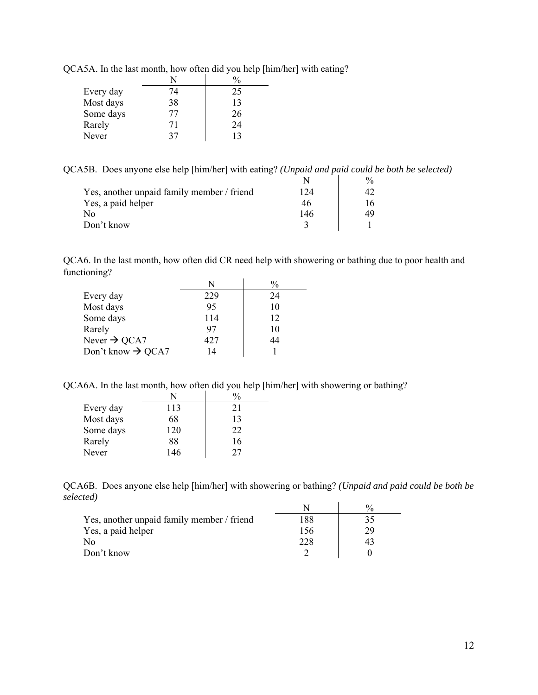| Every day | 74 | 25 |
|-----------|----|----|
| Most days | 38 | 13 |
| Some days | 77 | 26 |
| Rarely    | 71 | 24 |
| Never     | 37 | 13 |

QCA5A. In the last month, how often did you help [him/her] with eating?

QCA5B. Does anyone else help [him/her] with eating? *(Unpaid and paid could be both be selected)*

|                                            |     | $\frac{0}{0}$ |
|--------------------------------------------|-----|---------------|
| Yes, another unpaid family member / friend | 124 |               |
| Yes, a paid helper                         | 46  | 16            |
| No                                         | 146 | 49            |
| Don't know                                 |     |               |

QCA6. In the last month, how often did CR need help with showering or bathing due to poor health and functioning?

|                               | N   |    |
|-------------------------------|-----|----|
| Every day                     | 229 | 24 |
| Most days                     | 95  | 10 |
| Some days                     | 114 | 12 |
| Rarely                        | 97  | 10 |
| Never $\rightarrow$ QCA7      | 427 | 44 |
| Don't know $\rightarrow$ QCA7 | 14  |    |

QCA6A. In the last month, how often did you help [him/her] with showering or bathing?

| Every day | 113 | 21 |
|-----------|-----|----|
| Most days | 68  | 13 |
| Some days | 120 | 22 |
| Rarely    | 88  | 16 |
| Never     | 146 | フフ |

QCA6B. Does anyone else help [him/her] with showering or bathing? *(Unpaid and paid could be both be selected)* N %

|                                            |     | $\gamma_0$ |
|--------------------------------------------|-----|------------|
| Yes, another unpaid family member / friend | 188 |            |
| Yes, a paid helper                         | 156 | 29         |
| No                                         | 228 | 43         |
| Don't know                                 |     |            |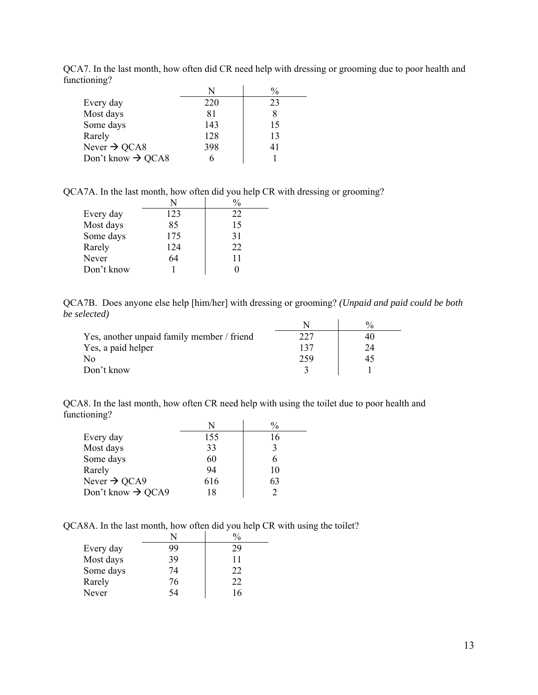|                               | N   | $\frac{0}{0}$ |
|-------------------------------|-----|---------------|
| Every day                     | 220 | 23            |
| Most days                     | 81  |               |
| Some days                     | 143 | 15            |
| Rarely                        | 128 | 13            |
| Never $\rightarrow$ QCA8      | 398 | 41            |
| Don't know $\rightarrow$ QCA8 |     |               |

QCA7. In the last month, how often did CR need help with dressing or grooming due to poor health and functioning?

QCA7A. In the last month, how often did you help CR with dressing or grooming?

| Every day  | 123 | 22 |
|------------|-----|----|
| Most days  | 85  | 15 |
| Some days  | 175 | 31 |
| Rarely     | 124 | 22 |
| Never      | 64  | 11 |
| Don't know |     |    |

QCA7B. Does anyone else help [him/her] with dressing or grooming? *(Unpaid and paid could be both be selected)*

|                                            |     | $\frac{0}{0}$ |
|--------------------------------------------|-----|---------------|
| Yes, another unpaid family member / friend |     | 40            |
| Yes, a paid helper                         |     | 24            |
| No                                         | 259 | 45            |
| Don't know                                 |     |               |

QCA8. In the last month, how often CR need help with using the toilet due to poor health and functioning?

| Every day                     | 155 | 16 |
|-------------------------------|-----|----|
| Most days                     | 33  | 3  |
| Some days                     | 60  |    |
| Rarely                        | 94  | 10 |
| Never $\rightarrow$ QCA9      | 616 | 63 |
| Don't know $\rightarrow$ QCA9 | 18  |    |

QCA8A. In the last month, how often did you help CR with using the toilet?

| Every day | 99 | 29 |
|-----------|----|----|
| Most days | 39 | 11 |
| Some days | 74 | 22 |
| Rarely    | 76 | 22 |
| Never     | 54 | 16 |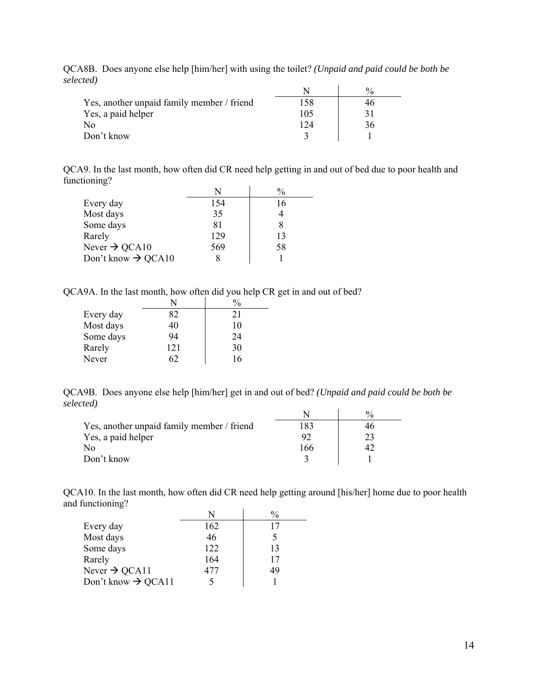| Yes, another unpaid family member / friend | 158 |    |
|--------------------------------------------|-----|----|
| Yes, a paid helper                         | 105 |    |
| No                                         | 124 | 36 |
| Don't know                                 |     |    |

QCA8B. Does anyone else help [him/her] with using the toilet? *(Unpaid and paid could be both be selected)*

QCA9. In the last month, how often did CR need help getting in and out of bed due to poor health and functioning?

|                                |     | $\frac{0}{0}$ |
|--------------------------------|-----|---------------|
| Every day                      | 154 | 16            |
| Most days                      | 35  |               |
| Some days                      | 81  |               |
| Rarely                         | 129 | 13            |
| Never $\rightarrow$ QCA10      | 569 | 58            |
| Don't know $\rightarrow$ QCA10 |     |               |

QCA9A. In the last month, how often did you help CR get in and out of bed?

|           |     | $\frac{0}{0}$ |
|-----------|-----|---------------|
| Every day | 82  | 21            |
| Most days | 40  | 10            |
| Some days | 94  | 24            |
| Rarely    | 121 | 30            |
| Never     | 62  | 16            |

QCA9B. Does anyone else help [him/her] get in and out of bed? *(Unpaid and paid could be both be selected)*

| Yes, another unpaid family member / friend |     | 4r |
|--------------------------------------------|-----|----|
| Yes, a paid helper                         | 92  | 23 |
| No                                         | 166 |    |
| Don't know                                 |     |    |

QCA10. In the last month, how often did CR need help getting around [his/her] home due to poor health and functioning?

|                                | N   | $\frac{0}{0}$ |
|--------------------------------|-----|---------------|
| Every day                      | 162 | 17            |
| Most days                      | 46  |               |
| Some days                      | 122 | 13            |
| Rarely                         | 164 | 17            |
| Never $\rightarrow$ QCA11      | 477 | 49            |
| Don't know $\rightarrow$ QCA11 |     |               |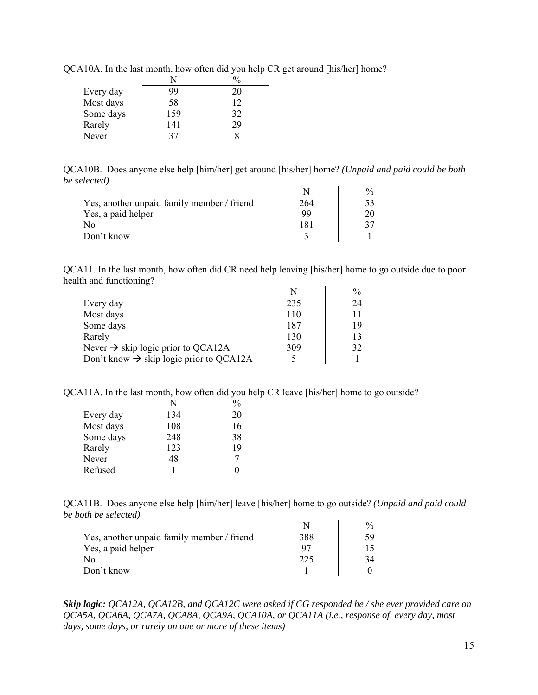| Every day | 99  | 20 |
|-----------|-----|----|
| Most days | 58  | 12 |
| Some days | 159 | 32 |
| Rarely    | 141 | 29 |
| Never     | 37  |    |

QCA10A. In the last month, how often did you help CR get around [his/her] home?

QCA10B. Does anyone else help [him/her] get around [his/her] home? *(Unpaid and paid could be both be selected)*

| Yes, another unpaid family member / friend | 264 |  |
|--------------------------------------------|-----|--|
| Yes, a paid helper                         | 99  |  |
| No                                         |     |  |
| Don't know                                 |     |  |

QCA11. In the last month, how often did CR need help leaving [his/her] home to go outside due to poor health and functioning?

|                                                     | N   | $\frac{0}{0}$ |
|-----------------------------------------------------|-----|---------------|
| Every day                                           | 235 | 24            |
| Most days                                           | 110 | 11            |
| Some days                                           | 187 | 19            |
| Rarely                                              | 130 | 13            |
| Never $\rightarrow$ skip logic prior to QCA12A      | 309 | 32            |
| Don't know $\rightarrow$ skip logic prior to QCA12A |     |               |

QCA11A. In the last month, how often did you help CR leave [his/her] home to go outside?

|           | N   | $\frac{0}{0}$ |
|-----------|-----|---------------|
| Every day | 134 | 20            |
| Most days | 108 | 16            |
| Some days | 248 | 38            |
| Rarely    | 123 | 19            |
| Never     | 48  |               |
| Refused   |     |               |

QCA11B. Does anyone else help [him/her] leave [his/her] home to go outside? *(Unpaid and paid could be both be selected)*

| Yes, another unpaid family member / friend | 388              | 59 |
|--------------------------------------------|------------------|----|
| Yes, a paid helper                         |                  |    |
| No                                         | 22. <sup>5</sup> | 34 |
| Don't know                                 |                  |    |

*Skip logic: QCA12A, QCA12B, and QCA12C were asked if CG responded he / she ever provided care on QCA5A, QCA6A, QCA7A, QCA8A, QCA9A, QCA10A, or QCA11A (i.e., response of every day, most days, some days, or rarely on one or more of these items)*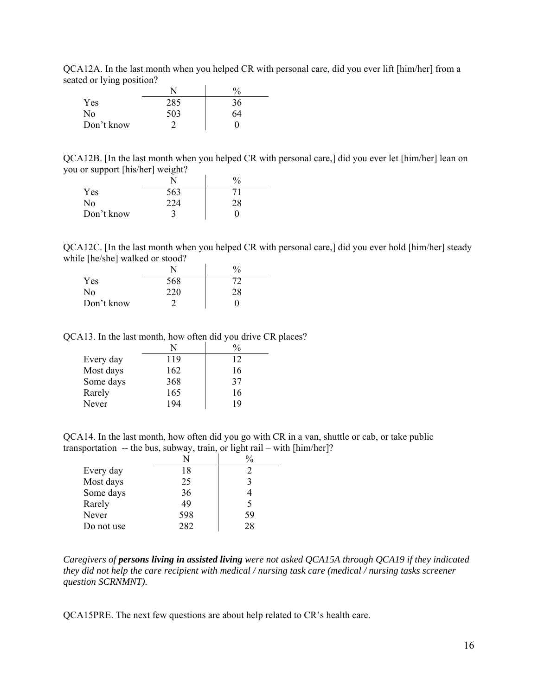QCA12A. In the last month when you helped CR with personal care, did you ever lift [him/her] from a seated or lying position?

| .          | N   | $\frac{0}{0}$ |
|------------|-----|---------------|
| Yes        | 285 | 36            |
| No         | 503 | 64            |
| Don't know |     |               |

QCA12B. [In the last month when you helped CR with personal care,] did you ever let [him/her] lean on you or support [his/her] weight?

| . .        | ~   | 0/ |
|------------|-----|----|
| Yes        | 563 | 71 |
| No         | 224 | 28 |
| Don't know |     |    |

QCA12C. [In the last month when you helped CR with personal care,] did you ever hold [him/her] steady while [he/she] walked or stood?

|            |     | $\frac{0}{0}$ |
|------------|-----|---------------|
| Yes        | 568 | 72.           |
| No         | 220 | 28            |
| Don't know |     |               |

QCA13. In the last month, how often did you drive CR places?

| Every day | 119 | 12 |
|-----------|-----|----|
| Most days | 162 | 16 |
| Some days | 368 | 37 |
| Rarely    | 165 | 16 |
| Never     | 194 | 19 |

QCA14. In the last month, how often did you go with CR in a van, shuttle or cab, or take public transportation -- the bus, subway, train, or light rail – with [him/her]?

| Every day  | 18  |    |
|------------|-----|----|
| Most days  | 25  |    |
| Some days  | 36  |    |
| Rarely     | 49  | 5  |
| Never      | 598 | 59 |
| Do not use | 282 | 28 |

*Caregivers of persons living in assisted living were not asked QCA15A through QCA19 if they indicated they did not help the care recipient with medical / nursing task care (medical / nursing tasks screener question SCRNMNT).* 

QCA15PRE. The next few questions are about help related to CR's health care.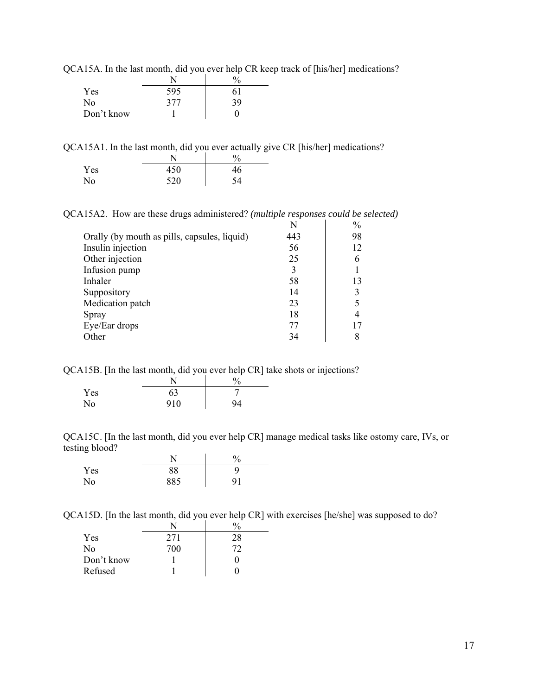| $\mathcal{L}_{111}$ is the new motion, and for $\mathcal{L}_{111}$ in $\mathcal{L}_{121}$ |     |    |
|-------------------------------------------------------------------------------------------|-----|----|
|                                                                                           |     |    |
| Yes                                                                                       | 595 | 61 |
| No                                                                                        | 377 | 39 |
| Don't know                                                                                |     |    |

QCA15A. In the last month, did you ever help CR keep track of [his/her] medications?

QCA15A1. In the last month, did you ever actually give CR [his/her] medications?

|                | N   | $\frac{0}{0}$ |
|----------------|-----|---------------|
| Yes            | 450 | 46            |
| N <sub>o</sub> | 520 | 54            |

QCA15A2. How are these drugs administered? *(multiple responses could be selected)* 

|                                              | N   | $\frac{0}{0}$ |
|----------------------------------------------|-----|---------------|
| Orally (by mouth as pills, capsules, liquid) | 443 | 98            |
| Insulin injection                            | 56  | 12            |
| Other injection                              | 25  | 6             |
| Infusion pump                                | 3   |               |
| Inhaler                                      | 58  | 13            |
| Suppository                                  | 14  | 3             |
| Medication patch                             | 23  |               |
| Spray                                        | 18  | 4             |
| Eye/Ear drops                                | 77  |               |
| Other                                        | 34  | 8             |

QCA15B. [In the last month, did you ever help CR] take shots or injections?

|     | $\mathbf{N}^{\mathsf{T}}$ |    |
|-----|---------------------------|----|
| Yes | 63                        |    |
| No  | 910                       | 94 |

QCA15C. [In the last month, did you ever help CR] manage medical tasks like ostomy care, IVs, or testing blood? J.

|     |     | Ό  |
|-----|-----|----|
| Yes | 88  |    |
| No  | 885 | 91 |

QCA15D. [In the last month, did you ever help CR] with exercises [he/she] was supposed to do?

| Yes            | 271 | 28 |
|----------------|-----|----|
| N <sub>0</sub> | 700 | 72 |
| Don't know     |     | 0  |
| Refused        |     |    |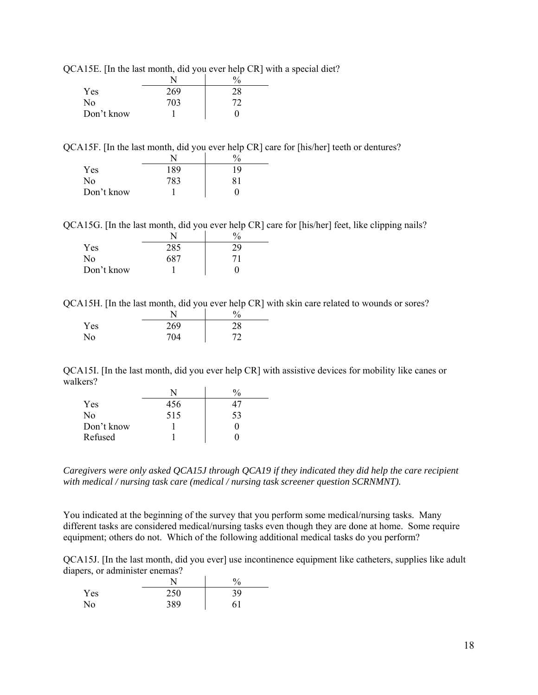|  |  |  | QCA15E. [In the last month, did you ever help CR] with a special diet? |
|--|--|--|------------------------------------------------------------------------|
|--|--|--|------------------------------------------------------------------------|

|                |     | $\frac{0}{0}$ |
|----------------|-----|---------------|
| Yes            | 269 | 28            |
| N <sub>0</sub> | 703 | 72            |
| Don't know     |     |               |

QCA15F. [In the last month, did you ever help CR] care for [his/her] teeth or dentures?

|            |     | $\frac{0}{0}$ |
|------------|-----|---------------|
| Yes        | 189 | 19            |
| No         | 783 | 81            |
| Don't know |     |               |

QCA15G. [In the last month, did you ever help CR] care for [his/her] feet, like clipping nails?

| Yes        | 285 |    |
|------------|-----|----|
| No         | 687 | 71 |
| Don't know |     |    |

QCA15H. [In the last month, did you ever help CR] with skin care related to wounds or sores?

|     |     | $\frac{0}{0}$ |
|-----|-----|---------------|
| Yes | 269 | 28            |
| No. | 704 | רד            |

QCA15I. [In the last month, did you ever help CR] with assistive devices for mobility like canes or walkers?

| Yes            | 456 |    |
|----------------|-----|----|
| N <sub>0</sub> | 515 | 53 |
| Don't know     |     |    |
| Refused        |     |    |

*Caregivers were only asked QCA15J through QCA19 if they indicated they did help the care recipient with medical / nursing task care (medical / nursing task screener question SCRNMNT).* 

You indicated at the beginning of the survey that you perform some medical/nursing tasks. Many different tasks are considered medical/nursing tasks even though they are done at home. Some require equipment; others do not. Which of the following additional medical tasks do you perform?

QCA15J. [In the last month, did you ever] use incontinence equipment like catheters, supplies like adult diapers, or administer enemas?

| . . |     | $\frac{0}{0}$ |
|-----|-----|---------------|
| Yes | 250 | 39            |
| No  | 389 | 61            |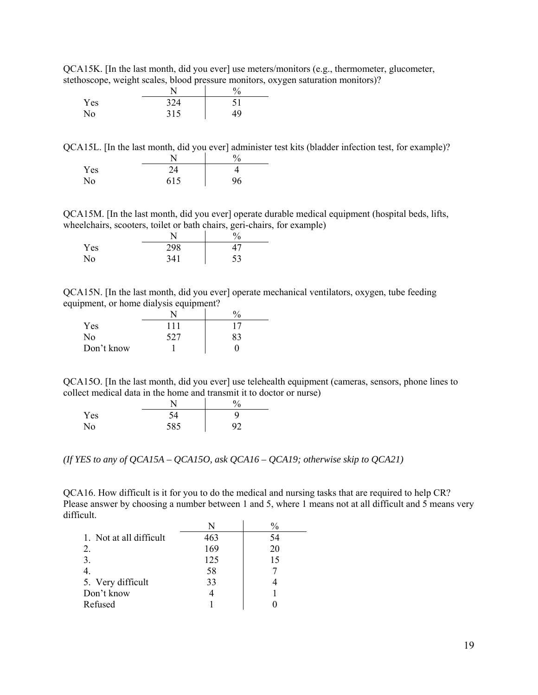QCA15K. [In the last month, did you ever] use meters/monitors (e.g., thermometer, glucometer, stethoscope, weight scales, blood pressure monitors, oxygen saturation monitors)?

| $\sim$ | -   | $\%$ |
|--------|-----|------|
| Yes    | 324 |      |
| No     | 315 | 49   |

QCA15L. [In the last month, did you ever] administer test kits (bladder infection test, for example)?  $N \qquad \qquad \frac{1}{\sqrt{2}}$ 

|     | . . | ∕∪ |
|-----|-----|----|
| Yes | 24  |    |
| No  | 615 | 96 |

QCA15M. [In the last month, did you ever] operate durable medical equipment (hospital beds, lifts, wheelchairs, scooters, toilet or bath chairs, geri-chairs, for example)

|     |     | Ό  |
|-----|-----|----|
| Yes | 298 |    |
| No  | 341 | 53 |

QCA15N. [In the last month, did you ever] operate mechanical ventilators, oxygen, tube feeding equipment, or home dialysis equipment?

| Yes        | 111 | 17 |
|------------|-----|----|
| No         | 527 | 83 |
| Don't know |     |    |

QCA15O. [In the last month, did you ever] use telehealth equipment (cameras, sensors, phone lines to collect medical data in the home and transmit it to doctor or nurse)

|     |     | $\mathbf{U}$<br>υ |
|-----|-----|-------------------|
| Yes |     |                   |
| No  | 585 | ۵ŕ                |

*(If YES to any of QCA15A – QCA15O, ask QCA16 – QCA19; otherwise skip to QCA21)* 

QCA16. How difficult is it for you to do the medical and nursing tasks that are required to help CR? Please answer by choosing a number between 1 and 5, where 1 means not at all difficult and 5 means very difficult.

|                         |     | $\frac{0}{0}$ |
|-------------------------|-----|---------------|
| 1. Not at all difficult | 463 | 54            |
| 2.                      | 169 | 20            |
| 3.                      | 125 | 15            |
|                         | 58  |               |
| 5. Very difficult       | 33  |               |
| Don't know              |     |               |
| Refused                 |     |               |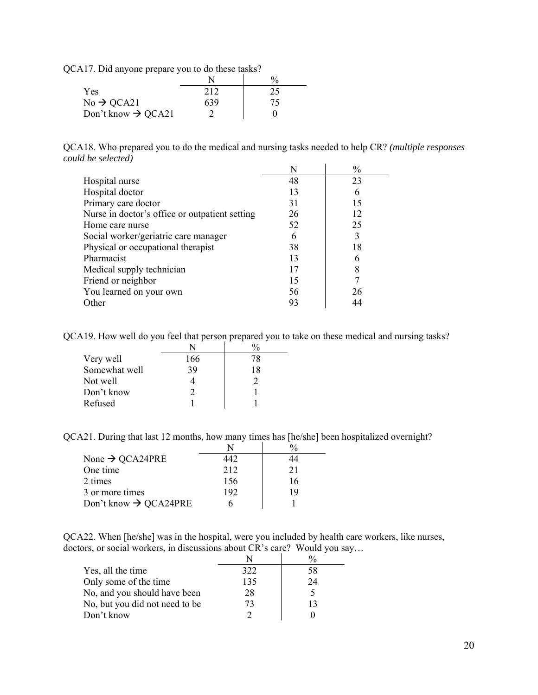QCA17. Did anyone prepare you to do these tasks?

|                                | N   | $\frac{0}{0}$ |
|--------------------------------|-----|---------------|
| Yes                            | 212 | 25            |
| $No \rightarrow QCA21$         | 639 | 75            |
| Don't know $\rightarrow$ QCA21 |     |               |

QCA18. Who prepared you to do the medical and nursing tasks needed to help CR? *(multiple responses could be selected)* 

|                                                |    | $\frac{0}{0}$ |
|------------------------------------------------|----|---------------|
| Hospital nurse                                 | 48 | 23            |
| Hospital doctor                                | 13 | 6             |
| Primary care doctor                            | 31 | 15            |
| Nurse in doctor's office or outpatient setting | 26 | 12            |
| Home care nurse                                | 52 | 25            |
| Social worker/geriatric care manager           |    | 3             |
| Physical or occupational therapist             | 38 | 18            |
| Pharmacist                                     | 13 | 6             |
| Medical supply technician                      |    | 8             |
| Friend or neighbor                             | 15 |               |
| You learned on your own                        | 56 | 26            |
| Other                                          | 93 |               |

QCA19. How well do you feel that person prepared you to take on these medical and nursing tasks?

|               | N   |    |
|---------------|-----|----|
| Very well     | 166 | 78 |
| Somewhat well | 39  | 18 |
| Not well      |     |    |
| Don't know    |     |    |
| Refused       |     |    |

QCA21. During that last 12 months, how many times has [he/she] been hospitalized overnight?

| None $\rightarrow$ QCA24PRE       | 142 | 44 |
|-----------------------------------|-----|----|
| One time                          | 212 | 21 |
| 2 times                           | 156 | 16 |
| 3 or more times                   | 192 | 19 |
| Don't know $\rightarrow$ QCA24PRE |     |    |

QCA22. When [he/she] was in the hospital, were you included by health care workers, like nurses, doctors, or social workers, in discussions about CR's care? Would you say…

| Yes, all the time              | 322 | 58 |
|--------------------------------|-----|----|
| Only some of the time          | 135 | 24 |
| No, and you should have been   | 28. |    |
| No, but you did not need to be | 73  | 13 |
| Don't know                     |     |    |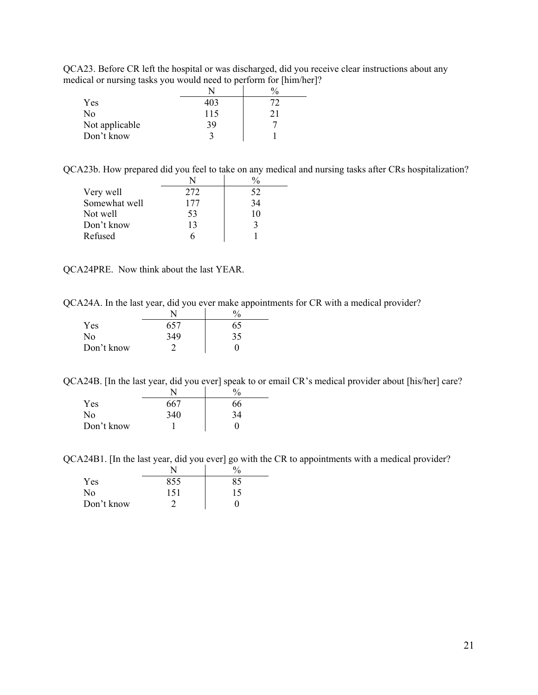QCA23. Before CR left the hospital or was discharged, did you receive clear instructions about any medical or nursing tasks you would need to perform for [him/her]?

| ⊂              |     | $^{0}/_{0}$ |
|----------------|-----|-------------|
| Yes            | 403 |             |
| No             | 115 |             |
| Not applicable | 39  |             |
| Don't know     |     |             |

QCA23b. How prepared did you feel to take on any medical and nursing tasks after CRs hospitalization?

| Very well     | 272 | 52 |
|---------------|-----|----|
| Somewhat well | 177 | 34 |
| Not well      | 53  | 10 |
| Don't know    | 13  | 3  |
| Refused       |     |    |

QCA24PRE. Now think about the last YEAR.

QCA24A. In the last year, did you ever make appointments for CR with a medical provider?

|                |     | $\frac{0}{0}$ |
|----------------|-----|---------------|
| Yes            | 657 | 65            |
| N <sub>0</sub> | 349 | 35            |
| Don't know     |     |               |

QCA24B. [In the last year, did you ever] speak to or email CR's medical provider about [his/her] care?

| Yes        | 667 | 66 |
|------------|-----|----|
| No         | 340 | 34 |
| Don't know |     | 0  |

QCA24B1. [In the last year, did you ever] go with the CR to appointments with a medical provider?

|            | N   | 0  |
|------------|-----|----|
| Yes        | 855 |    |
| No         | 151 | 15 |
| Don't know |     |    |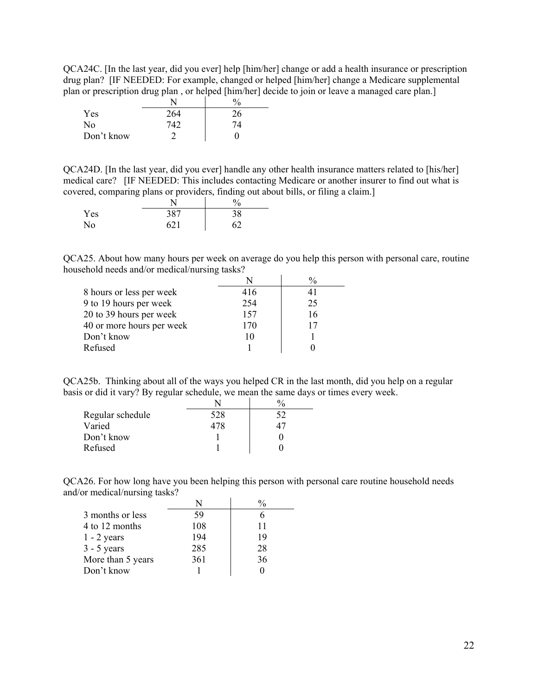QCA24C. [In the last year, did you ever] help [him/her] change or add a health insurance or prescription drug plan? [IF NEEDED: For example, changed or helped [him/her] change a Medicare supplemental plan or prescription drug plan , or helped [him/her] decide to join or leave a managed care plan.]

|            |     | $\%$ |
|------------|-----|------|
| Yes        | 264 | 26   |
| No         | 742 | 74   |
| Don't know |     |      |

QCA24D. [In the last year, did you ever] handle any other health insurance matters related to [his/her] medical care? [IF NEEDED: This includes contacting Medicare or another insurer to find out what is covered, comparing plans or providers, finding out about bills, or filing a claim.]

|     |     | $\frac{0}{0}$ |
|-----|-----|---------------|
| Yes | 387 | 38            |
| No  | 621 | 62            |

QCA25. About how many hours per week on average do you help this person with personal care, routine household needs and/or medical/nursing tasks?

| 8 hours or less per week  | 416 |    |
|---------------------------|-----|----|
| 9 to 19 hours per week    | 254 | 25 |
| 20 to 39 hours per week   | 157 | 16 |
| 40 or more hours per week | 170 | 17 |
| Don't know                |     |    |
| Refused                   |     |    |

QCA25b. Thinking about all of the ways you helped CR in the last month, did you help on a regular basis or did it vary? By regular schedule, we mean the same days or times every week.

| Regular schedule | 528 | 52 |
|------------------|-----|----|
| Varied           | 478 |    |
| Don't know       |     |    |
| Refused          |     |    |

QCA26. For how long have you been helping this person with personal care routine household needs and/or medical/nursing tasks?

| 3 months or less  | 59  |    |
|-------------------|-----|----|
| 4 to 12 months    | 108 | 11 |
| $1 - 2$ years     | 194 | 19 |
| $3 - 5$ years     | 285 | 28 |
| More than 5 years | 361 | 36 |
| Don't know        |     |    |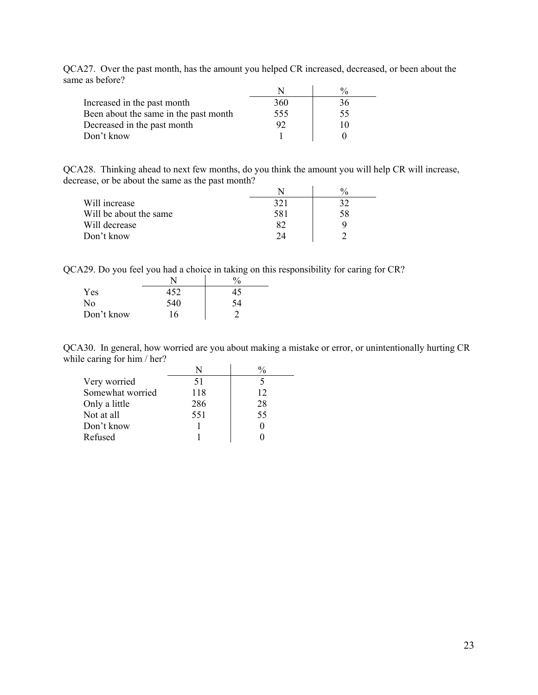|                                       |     | $\frac{0}{0}$ |
|---------------------------------------|-----|---------------|
| Increased in the past month           | 360 | 36            |
| Been about the same in the past month | 555 | 55            |
| Decreased in the past month           | 92  | 10            |
| Don't know                            |     |               |

QCA27. Over the past month, has the amount you helped CR increased, decreased, or been about the same as before?

QCA28. Thinking ahead to next few months, do you think the amount you will help CR will increase, decrease, or be about the same as the past month?

|                        |     | $\frac{0}{0}$ |
|------------------------|-----|---------------|
| Will increase          | 321 | 32            |
| Will be about the same | 581 | 58            |
| Will decrease          |     | u             |
| Don't know             | 24  |               |

QCA29. Do you feel you had a choice in taking on this responsibility for caring for CR?

|            |     | $\%$ |
|------------|-----|------|
| Yes        | 452 | 45   |
| No         | 540 | 54   |
| Don't know | 16  |      |

QCA30. In general, how worried are you about making a mistake or error, or unintentionally hurting CR while caring for him / her?

| Very worried     | 51  |    |
|------------------|-----|----|
| Somewhat worried | 118 | 12 |
| Only a little    | 286 | 28 |
| Not at all       | 551 | 55 |
| Don't know       |     |    |
| Refused          |     |    |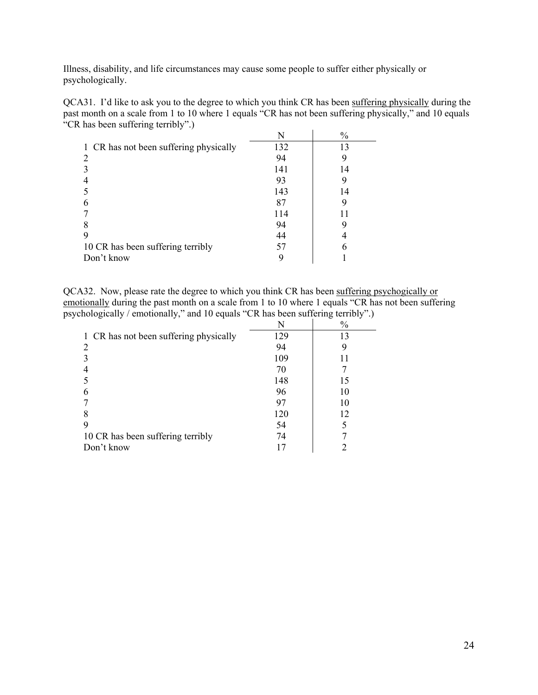Illness, disability, and life circumstances may cause some people to suffer either physically or psychologically.

QCA31. I'd like to ask you to the degree to which you think CR has been suffering physically during the past month on a scale from 1 to 10 where 1 equals "CR has not been suffering physically," and 10 equals "CR has been suffering terribly".)  $\mathbf{v}$   $\mathbf{v}$   $\mathbf{v}$   $\mathbf{v}$   $\mathbf{v}$   $\mathbf{v}$   $\mathbf{v}$ 

|                                        |     | $\%$ |
|----------------------------------------|-----|------|
| 1 CR has not been suffering physically | 132 | 13   |
|                                        | 94  |      |
|                                        | 141 | 14   |
|                                        | 93  |      |
|                                        | 143 | 14   |
|                                        | 87  |      |
|                                        | 114 |      |
|                                        | 94  |      |
|                                        | 44  |      |
| 10 CR has been suffering terribly      | 57  | 6    |
| Don't know                             |     |      |

QCA32. Now, please rate the degree to which you think CR has been suffering psychogically or emotionally during the past month on a scale from 1 to 10 where 1 equals "CR has not been suffering psychologically / emotionally," and 10 equals "CR has been suffering terribly".)

| $\frac{0}{0}$<br>N<br>129<br>13         |  |
|-----------------------------------------|--|
|                                         |  |
| 1 CR has not been suffering physically  |  |
| 94                                      |  |
| 109                                     |  |
| 70                                      |  |
| 148<br>15                               |  |
| 96<br>10                                |  |
| 10<br>97                                |  |
| 12<br>120                               |  |
| 54                                      |  |
| 10 CR has been suffering terribly<br>74 |  |
| Don't know                              |  |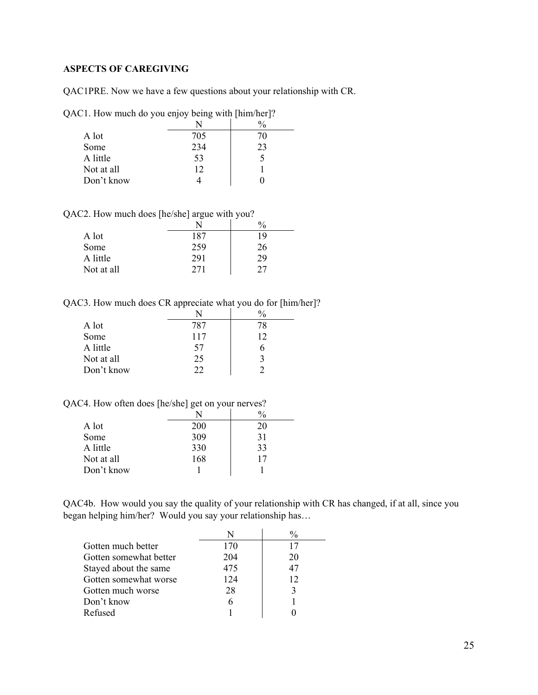## <span id="page-24-0"></span>**ASPECTS OF CAREGIVING**

QAC1PRE. Now we have a few questions about your relationship with CR.

QAC1. How much do you enjoy being with [him/her]?

| A lot      | 705 | 70 |
|------------|-----|----|
| Some       | 234 | 23 |
| A little   | 53  |    |
| Not at all | 12  |    |
| Don't know |     |    |

QAC2. How much does [he/she] argue with you?

|            |     | $\frac{0}{0}$ |
|------------|-----|---------------|
| A lot      | 187 | 19            |
| Some       | 259 | 26            |
| A little   | 291 | 29            |
| Not at all | 271 | 27            |

QAC3. How much does CR appreciate what you do for [him/her]?

| A lot      | 787 | 78 |
|------------|-----|----|
| Some       | 117 | 12 |
| A little   | 57  |    |
| Not at all | 25  |    |
| Don't know | つつ  |    |

QAC4. How often does [he/she] get on your nerves?

| A lot      | 200 | 20 |
|------------|-----|----|
| Some       | 309 | 31 |
| A little   | 330 | 33 |
| Not at all | 168 | 17 |
| Don't know |     |    |

QAC4b. How would you say the quality of your relationship with CR has changed, if at all, since you began helping him/her? Would you say your relationship has…

|                        |     | $\frac{0}{0}$ |
|------------------------|-----|---------------|
| Gotten much better     | 170 | 17            |
| Gotten somewhat better | 204 | 20            |
| Stayed about the same  | 475 | 47            |
| Gotten somewhat worse  | 124 | 12            |
| Gotten much worse      | 28  |               |
| Don't know             |     |               |
| Refused                |     |               |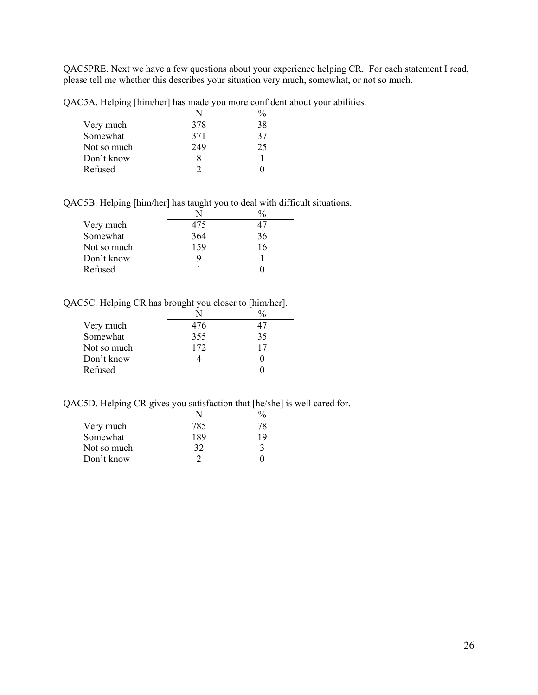QAC5PRE. Next we have a few questions about your experience helping CR. For each statement I read, please tell me whether this describes your situation very much, somewhat, or not so much.

QAC5A. Helping [him/her] has made you more confident about your abilities.

| Very much   | 378 | 38 |
|-------------|-----|----|
| Somewhat    | 371 | 37 |
| Not so much | 249 | 25 |
| Don't know  |     |    |
| Refused     |     |    |

QAC5B. Helping [him/her] has taught you to deal with difficult situations.

| Very much   | 475 |    |
|-------------|-----|----|
| Somewhat    | 364 | 36 |
| Not so much | 159 | 16 |
| Don't know  |     |    |
| Refused     |     |    |

QAC5C. Helping CR has brought you closer to [him/her].

| Very much   | 476 |    |
|-------------|-----|----|
| Somewhat    | 355 | 35 |
| Not so much | 172 | 17 |
| Don't know  |     |    |
| Refused     |     |    |

QAC5D. Helping CR gives you satisfaction that [he/she] is well cared for.

| Very much   | 785 | 78 |
|-------------|-----|----|
| Somewhat    | 189 | 19 |
| Not so much | 32  |    |
| Don't know  |     |    |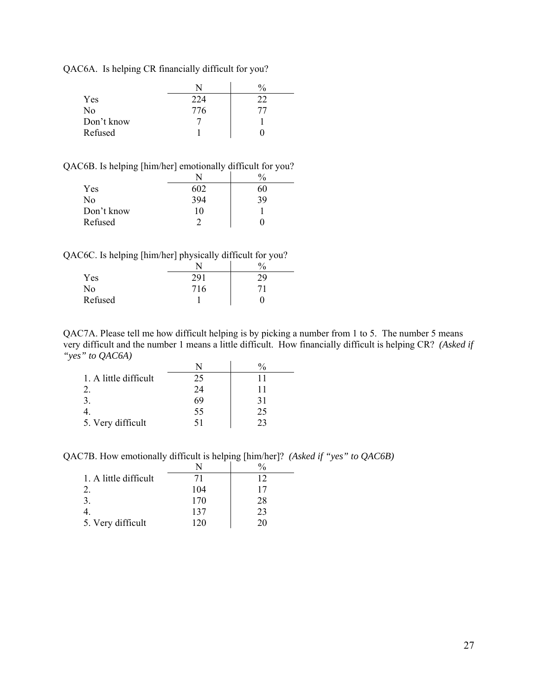QAC6A. Is helping CR financially difficult for you?

|                | N   | $\frac{0}{0}$ |
|----------------|-----|---------------|
| Yes            | 224 | 22            |
| N <sub>0</sub> | 776 | 77            |
| Don't know     |     |               |
| Refused        |     |               |

QAC6B. Is helping [him/her] emotionally difficult for you?

| Yes        | 602 | hU |
|------------|-----|----|
| No         | 394 | 39 |
| Don't know | 10  |    |
| Refused    |     |    |

QAC6C. Is helping [him/her] physically difficult for you?

|         |     | $\mathbf{0}$<br>′0 |
|---------|-----|--------------------|
| Yes     | 201 | 29                 |
| No      | 716 | 71                 |
| Refused |     |                    |

QAC7A. Please tell me how difficult helping is by picking a number from 1 to 5. The number 5 means very difficult and the number 1 means a little difficult. How financially difficult is helping CR? *(Asked if "yes" to QAC6A)*

| 1. A little difficult | 25 |    |
|-----------------------|----|----|
|                       | 24 |    |
| 3.                    | 69 | 31 |
|                       | 55 | 25 |
| 5. Very difficult     |    |    |

QAC7B. How emotionally difficult is helping [him/her]? *(Asked if "yes" to QAC6B)* 

| 1. A little difficult | 71  | 12 |
|-----------------------|-----|----|
|                       | 104 | 17 |
| 3.                    | 170 | 28 |
|                       | 137 | 23 |
| 5. Very difficult     | 120 | 20 |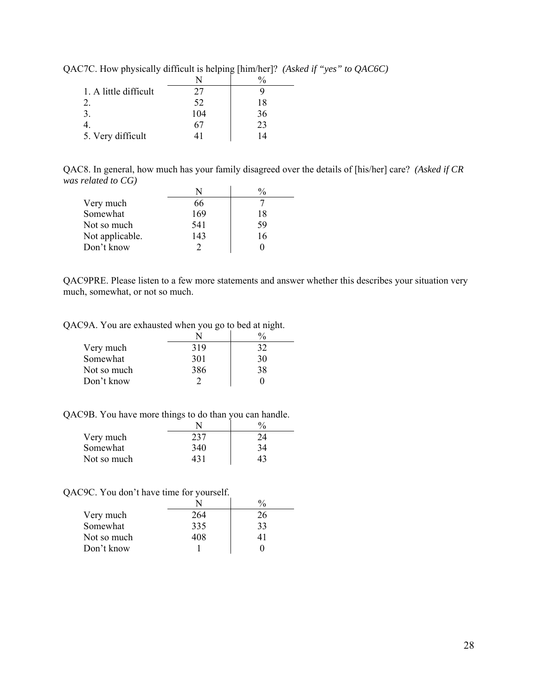| 1. A little difficult | 27  |    |
|-----------------------|-----|----|
|                       | 52  | 18 |
|                       | 104 | 36 |
|                       | 67  | 23 |
| 5. Very difficult     |     | 14 |

QAC7C. How physically difficult is helping [him/her]? *(Asked if "yes" to QAC6C)*

QAC8. In general, how much has your family disagreed over the details of [his/her] care? *(Asked if CR was related to CG)* 

 $\overline{\phantom{a}}$ 

| Very much       | 66  |    |
|-----------------|-----|----|
| Somewhat        | 169 | 18 |
| Not so much     | 541 | 59 |
| Not applicable. | 143 | 16 |
| Don't know      |     |    |

QAC9PRE. Please listen to a few more statements and answer whether this describes your situation very much, somewhat, or not so much.

QAC9A. You are exhausted when you go to bed at night.

| Very much   | 319 | 32 |
|-------------|-----|----|
| Somewhat    | 301 | 30 |
| Not so much | 386 | 38 |
| Don't know  |     |    |

QAC9B. You have more things to do than you can handle.

| Very much   | 237 | 24 |
|-------------|-----|----|
| Somewhat    | 340 | 34 |
| Not so much | 431 | 43 |

QAC9C. You don't have time for yourself.

| Very much   | 264 | 26 |
|-------------|-----|----|
| Somewhat    | 335 | 33 |
| Not so much | 408 |    |
| Don't know  |     |    |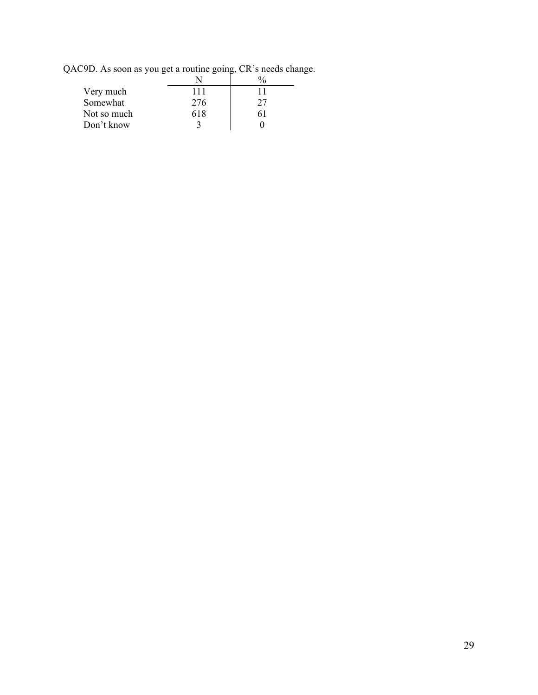QAC9D. As soon as you get a routine going, CR's needs change.

 $\overline{\phantom{0}}$ 

| Very much   | 111 | 11 |
|-------------|-----|----|
| Somewhat    | 276 | 27 |
| Not so much | 618 | 61 |
| Don't know  |     |    |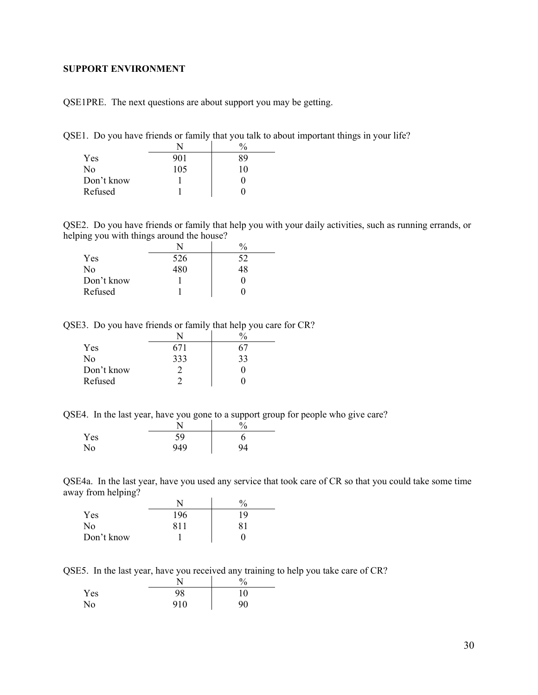#### <span id="page-29-0"></span>**SUPPORT ENVIRONMENT**

QSE1PRE. The next questions are about support you may be getting.

QSE1. Do you have friends or family that you talk to about important things in your life?

|                | N   | $\frac{0}{0}$ |
|----------------|-----|---------------|
| Yes            | 901 | 89            |
| N <sub>0</sub> | 105 | 10            |
| Don't know     |     |               |
| Refused        |     |               |

QSE2. Do you have friends or family that help you with your daily activities, such as running errands, or helping you with things around the house?

|                | N   | $\frac{0}{0}$ |
|----------------|-----|---------------|
| Yes            | 526 | 52            |
| N <sub>0</sub> | 480 | 4Χ            |
| Don't know     |     |               |
| Refused        |     |               |

QSE3. Do you have friends or family that help you care for CR?

| Yes        | 671 |    |
|------------|-----|----|
| No         | 333 | 33 |
| Don't know |     |    |
| Refused    |     |    |

QSE4. In the last year, have you gone to a support group for people who give care?

|     |     | $\frac{0}{0}$ |
|-----|-----|---------------|
| Yes | 59  |               |
| No  | 949 | 94            |

QSE4a. In the last year, have you used any service that took care of CR so that you could take some time away from helping?

|            |     | $\frac{0}{0}$ |
|------------|-----|---------------|
| Yes        | 196 | 19            |
| No         | 811 | 81            |
| Don't know |     |               |

QSE5. In the last year, have you received any training to help you take care of CR?

|     |     | $\%$ |
|-----|-----|------|
| Yes | 98  | 10   |
| No  | 910 | 90   |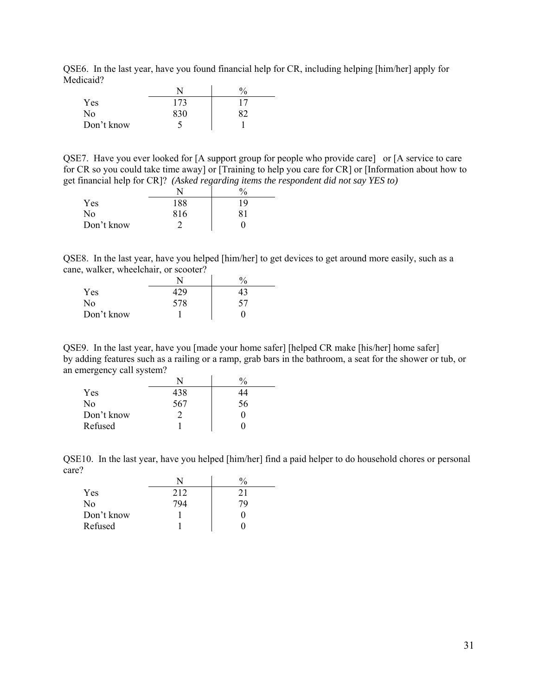QSE6. In the last year, have you found financial help for CR, including helping [him/her] apply for Medicaid?

|            |     | $\frac{0}{0}$ |
|------------|-----|---------------|
| Yes        | 173 |               |
| No         | 830 |               |
| Don't know |     |               |

QSE7. Have you ever looked for [A support group for people who provide care] or [A service to care for CR so you could take time away] or [Training to help you care for CR] or [Information about how to get financial help for CR]? *(Asked regarding items the respondent did not say YES to)* 

|            |     | $\%$ |
|------------|-----|------|
| Yes        | 188 | 19   |
| No         | 816 | 81   |
| Don't know |     |      |

QSE8. In the last year, have you helped [him/her] to get devices to get around more easily, such as a cane, walker, wheelchair, or scooter?

|            |     | $^{0}\!/_{0}$ |
|------------|-----|---------------|
| <b>Yes</b> |     | 43            |
| No         | 578 | 57            |
| Don't know |     |               |

QSE9. In the last year, have you [made your home safer] [helped CR make [his/her] home safer] by adding features such as a railing or a ramp, grab bars in the bathroom, a seat for the shower or tub, or an emergency call system?

|            | N   |    |
|------------|-----|----|
| Yes        | 438 | 44 |
| No         | 567 | 56 |
| Don't know |     |    |
| Refused    |     |    |

QSE10. In the last year, have you helped [him/her] find a paid helper to do household chores or personal care?

| Yes        | 212 |  |
|------------|-----|--|
| No         |     |  |
| Don't know |     |  |
| Refused    |     |  |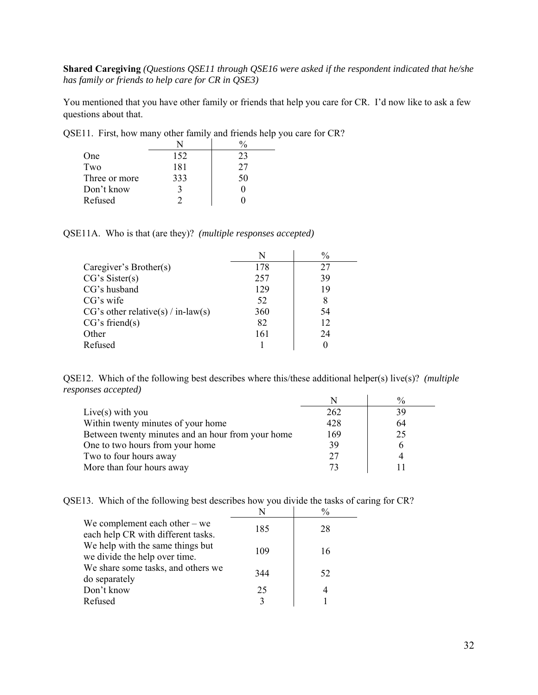**Shared Caregiving** *(Questions QSE11 through QSE16 were asked if the respondent indicated that he/she has family or friends to help care for CR in QSE3)* 

You mentioned that you have other family or friends that help you care for CR. I'd now like to ask a few questions about that.

| One           | 152 | 23 |
|---------------|-----|----|
| Two           | 181 | 27 |
| Three or more | 333 | 50 |
| Don't know    |     |    |
| Refused       |     |    |

QSE11. First, how many other family and friends help you care for CR?

QSE11A. Who is that (are they)? *(multiple responses accepted)*

|                                      | N   | $\%$ |
|--------------------------------------|-----|------|
| Caregiver's Brother(s)               | 178 | 27   |
| CG's Sister(s)                       | 257 | 39   |
| CG's husband                         | 129 | 19   |
| CG's wife                            | 52  | 8    |
| $CG's other relative(s) / in-law(s)$ | 360 | 54   |
| CG's friend(s)                       | 82  | 12   |
| Other                                | 161 | 24   |
| Refused                              |     |      |

QSE12. Which of the following best describes where this/these additional helper(s) live(s)? *(multiple responses accepted)*  $N$   $\vert$  0/

|                                                   |     | $\%$ |
|---------------------------------------------------|-----|------|
| Live(s) with you                                  | 262 | 39   |
| Within twenty minutes of your home                | 428 | 64   |
| Between twenty minutes and an hour from your home | 169 | 25   |
| One to two hours from your home                   | 39  | h    |
| Two to four hours away                            | 27  |      |
| More than four hours away                         |     |      |

QSE13. Which of the following best describes how you divide the tasks of caring for CR?

|                                                                       |     | $\frac{0}{0}$ |
|-----------------------------------------------------------------------|-----|---------------|
| We complement each other $-$ we<br>each help CR with different tasks. | 185 | 28            |
| We help with the same things but<br>we divide the help over time.     | 109 | 16            |
| We share some tasks, and others we<br>do separately                   | 344 | 52            |
| Don't know                                                            | 25  | 4             |
| Refused                                                               |     |               |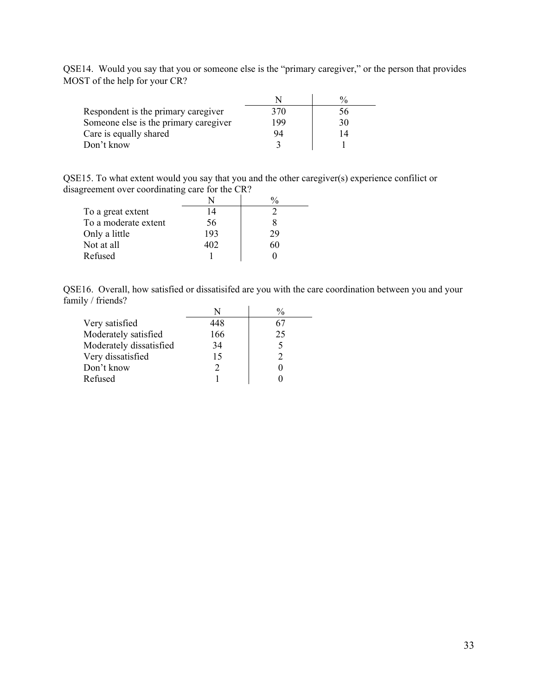|                               |  |  | QSE14. Would you say that you or someone else is the "primary caregiver," or the person that provides |  |
|-------------------------------|--|--|-------------------------------------------------------------------------------------------------------|--|
| MOST of the help for your CR? |  |  |                                                                                                       |  |

| Respondent is the primary caregiver   | 370 | 56 <sub>1</sub> |
|---------------------------------------|-----|-----------------|
| Someone else is the primary caregiver | 199 | 30              |
| Care is equally shared                | 94  |                 |
| Don't know                            |     |                 |

QSE15. To what extent would you say that you and the other caregiver(s) experience confilict or disagreement over coordinating care for the CR?

| To a great extent    | 14  |    |
|----------------------|-----|----|
| To a moderate extent | 56  |    |
| Only a little        | 193 | 29 |
| Not at all           | 402 |    |
| Refused              |     |    |

QSE16. Overall, how satisfied or dissatisifed are you with the care coordination between you and your family / friends?

| Very satisfied          | 448           |    |
|-------------------------|---------------|----|
| Moderately satisfied    | 166           | 25 |
| Moderately dissatisfied | 34            | 5  |
| Very dissatisfied       | 15            | 2  |
| Don't know              | $\mathcal{D}$ |    |
| Refused                 |               |    |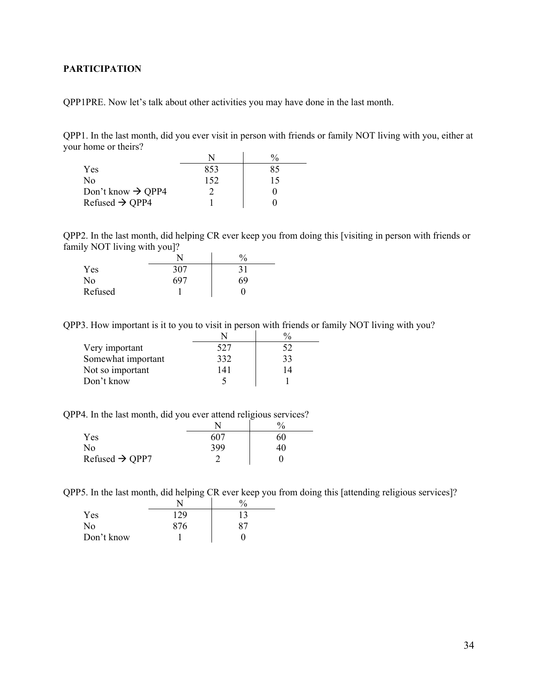## <span id="page-33-0"></span>**PARTICIPATION**

QPP1PRE. Now let's talk about other activities you may have done in the last month.

QPP1. In the last month, did you ever visit in person with friends or family NOT living with you, either at your home or theirs?

| Yes                           | 853 | 85 |
|-------------------------------|-----|----|
| No                            | 152 | 15 |
| Don't know $\rightarrow$ QPP4 |     |    |
| Refused $\rightarrow$ QPP4    |     |    |

QPP2. In the last month, did helping CR ever keep you from doing this [visiting in person with friends or family NOT living with you]?

|         |      | 0/ |
|---------|------|----|
| Yes     | 307  | 31 |
| No      | -697 | 69 |
| Refused |      |    |

QPP3. How important is it to you to visit in person with friends or family NOT living with you?

| Very important     | 527 |    |
|--------------------|-----|----|
| Somewhat important | 332 | 33 |
| Not so important   | 141 | 14 |
| Don't know         |     |    |

QPP4. In the last month, did you ever attend religious services?

|                            |     | $\frac{0}{0}$ |
|----------------------------|-----|---------------|
| Yes                        | 607 | 60            |
| No                         | 399 | 40            |
| Refused $\rightarrow$ QPP7 |     |               |

QPP5. In the last month, did helping CR ever keep you from doing this [attending religious services]?

|            |     | $^{0}$ |
|------------|-----|--------|
| Yes        | 129 | 13     |
| No         | 876 | 87     |
| Don't know |     |        |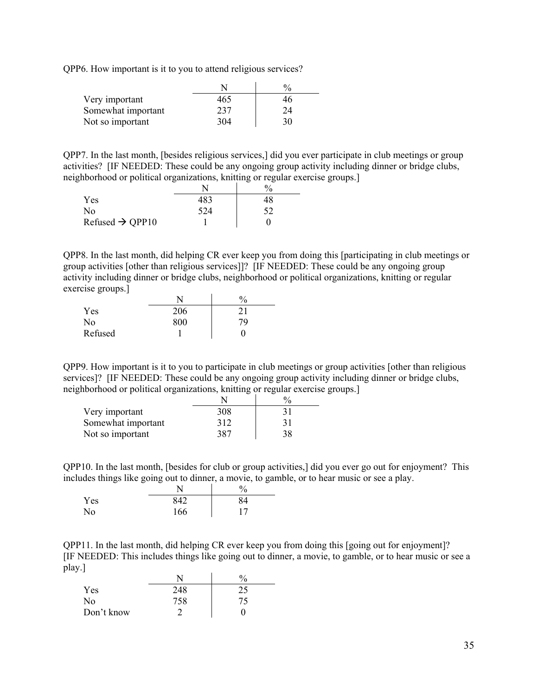QPP6. How important is it to you to attend religious services?

| Very important     | 465 | 40 |
|--------------------|-----|----|
| Somewhat important | 237 | 24 |
| Not so important   | 304 | 30 |

QPP7. In the last month, [besides religious services,] did you ever participate in club meetings or group activities? [IF NEEDED: These could be any ongoing group activity including dinner or bridge clubs, neighborhood or political organizations, knitting or regular exercise groups.]

|                             |     | $\%$ |
|-----------------------------|-----|------|
| Yes.                        | 483 | 48   |
| No                          | 524 |      |
| Refused $\rightarrow$ QPP10 |     |      |

QPP8. In the last month, did helping CR ever keep you from doing this [participating in club meetings or group activities [other than religious services]]? [IF NEEDED: These could be any ongoing group activity including dinner or bridge clubs, neighborhood or political organizations, knitting or regular exercise groups.]

|         |     | $\frac{0}{0}$ |
|---------|-----|---------------|
| Yes     | 206 |               |
| No      | 800 | 79            |
| Refused |     |               |

QPP9. How important is it to you to participate in club meetings or group activities [other than religious services]? [IF NEEDED: These could be any ongoing group activity including dinner or bridge clubs, neighborhood or political organizations, knitting or regular exercise groups.]

| Very important     | 308 |    |
|--------------------|-----|----|
| Somewhat important | 312 |    |
| Not so important   | 387 | 38 |

QPP10. In the last month, [besides for club or group activities,] did you ever go out for enjoyment? This includes things like going out to dinner, a movie, to gamble, or to hear music or see a play.

|     |     | $\%$ |
|-----|-----|------|
| Yes | 842 | 84   |
| No  | 166 |      |

QPP11. In the last month, did helping CR ever keep you from doing this [going out for enjoyment]? [IF NEEDED: This includes things like going out to dinner, a movie, to gamble, or to hear music or see a play.]

|            |     | $\frac{0}{0}$ |
|------------|-----|---------------|
| Yes        | 248 | 25            |
| No         | 758 | 75            |
| Don't know |     |               |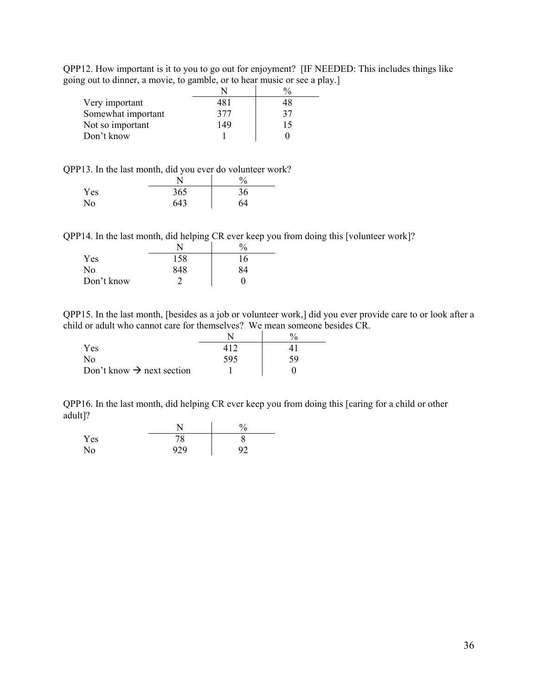|                                                                          | QPP12. How important is it to you to go out for enjoyment? [IF NEEDED: This includes things like |
|--------------------------------------------------------------------------|--------------------------------------------------------------------------------------------------|
| going out to dinner, a movie, to gamble, or to hear music or see a play. |                                                                                                  |

|                    |     | $\frac{0}{0}$ |
|--------------------|-----|---------------|
| Very important     | 481 | 48            |
| Somewhat important | 377 | 37            |
| Not so important   | 149 | 15            |
| Don't know         |     |               |

QPP13. In the last month, did you ever do volunteer work?

|     |     | $\%$ |
|-----|-----|------|
| Yes | 365 | 36   |
| No  | 643 | 64   |

QPP14. In the last month, did helping CR ever keep you from doing this [volunteer work]?

|            | N   | $\frac{0}{0}$ |
|------------|-----|---------------|
| Yes        | 158 | 16            |
| No         | 848 | 84            |
| Don't know |     |               |

QPP15. In the last month, [besides as a job or volunteer work,] did you ever provide care to or look after a child or adult who cannot care for themselves? We mean someone besides CR.

| <b>Yes</b>                            |     |    |
|---------------------------------------|-----|----|
| No                                    | 595 | 59 |
| Don't know $\rightarrow$ next section |     |    |

QPP16. In the last month, did helping CR ever keep you from doing this [caring for a child or other adult]?

|     |           | $\frac{0}{0}$ |
|-----|-----------|---------------|
| Yes | 70<br>′ o |               |
| No  | 929       | 92            |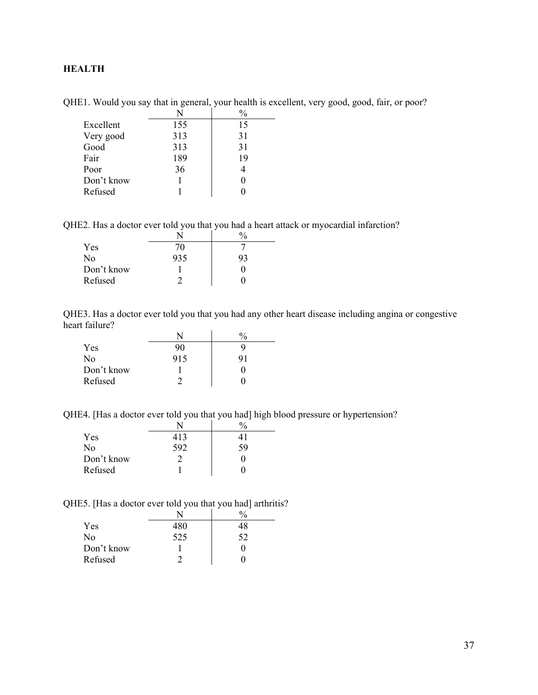## <span id="page-36-0"></span>**HEALTH**

| Excellent  | 155 | 15 |
|------------|-----|----|
| Very good  | 313 | 31 |
| Good       | 313 | 31 |
| Fair       | 189 | 19 |
| Poor       | 36  |    |
| Don't know |     |    |
| Refused    |     |    |

QHE1. Would you say that in general, your health is excellent, very good, good, fair, or poor?

QHE2. Has a doctor ever told you that you had a heart attack or myocardial infarction?

|            |     | $\%$ |  |
|------------|-----|------|--|
| Yes        | 70  |      |  |
| No         | 935 | 93   |  |
| Don't know |     |      |  |
| Refused    |     |      |  |

QHE3. Has a doctor ever told you that you had any other heart disease including angina or congestive heart failure?

|            |     | $\frac{0}{0}$ |
|------------|-----|---------------|
| Yes        | 90  |               |
| No         | 915 | 91            |
| Don't know |     |               |
| Refused    |     |               |

QHE4. [Has a doctor ever told you that you had] high blood pressure or hypertension?

| Yes        | 413 |    |
|------------|-----|----|
| No         | 592 | 59 |
| Don't know |     |    |
| Refused    |     |    |

QHE5. [Has a doctor ever told you that you had] arthritis?

| Yes        | 480 |    |
|------------|-----|----|
| No         | 525 | 52 |
| Don't know |     |    |
| Refused    |     |    |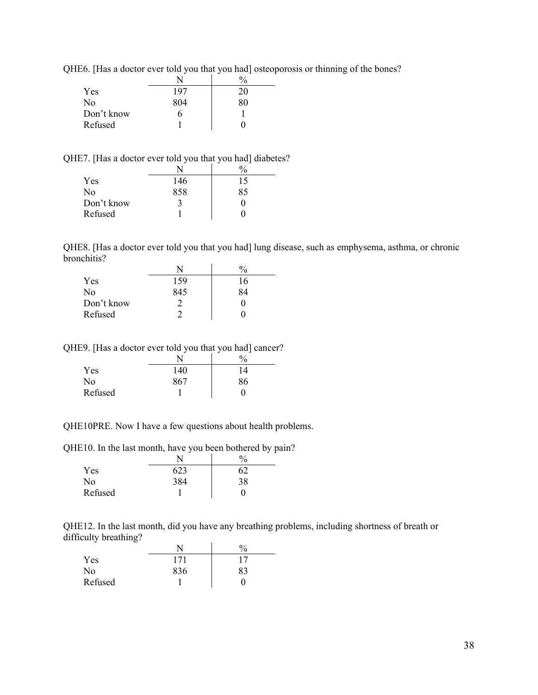|            |     | $\frac{0}{0}$ |
|------------|-----|---------------|
| Yes        | 197 | 20            |
| No         | 804 |               |
| Don't know |     |               |
| Refused    |     |               |

QHE6. [Has a doctor ever told you that you had] osteoporosis or thinning of the bones?

QHE7. [Has a doctor ever told you that you had] diabetes?

| Yes            | 146 | 15 |
|----------------|-----|----|
| N <sub>0</sub> | 858 | 85 |
| Don't know     |     |    |
| Refused        |     |    |

QHE8. [Has a doctor ever told you that you had] lung disease, such as emphysema, asthma, or chronic bronchitis?

| Yes        | 159 | 16 |
|------------|-----|----|
| No         | 845 | 84 |
| Don't know |     |    |
| Refused    |     |    |

QHE9. [Has a doctor ever told you that you had] cancer?

|         |     | 0/<br>70 |
|---------|-----|----------|
| Yes     | 140 | 14       |
| No      | 867 | 86       |
| Refused |     |          |

QHE10PRE. Now I have a few questions about health problems.

QHE10. In the last month, have you been bothered by pain?

| Yes     |     | ر د |
|---------|-----|-----|
| No      | 384 | 38  |
| Refused |     |     |

QHE12. In the last month, did you have any breathing problems, including shortness of breath or difficulty breathing?  $\ddot{\phantom{a}}$ 

|         |     | 0<br>70 |
|---------|-----|---------|
| Yes     |     |         |
| No      | 836 | 83      |
| Refused |     |         |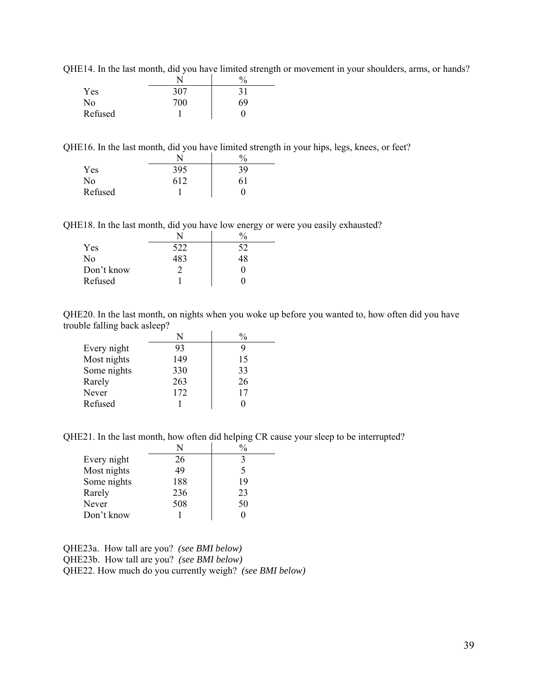QHE14. In the last month, did you have limited strength or movement in your shoulders, arms, or hands?

|         |     | $\frac{0}{0}$ |
|---------|-----|---------------|
| Yes     | 307 | 31            |
| No      | 700 | 69            |
| Refused |     |               |

QHE16. In the last month, did you have limited strength in your hips, legs, knees, or feet?

|                |     | $\frac{0}{0}$ |
|----------------|-----|---------------|
| Yes            | 395 | 39            |
| N <sub>o</sub> | 612 | 61            |
| Refused        |     |               |

QHE18. In the last month, did you have low energy or were you easily exhausted?

|            |     | $^{0}\!/_{0}$ |  |
|------------|-----|---------------|--|
| Yes        | 522 | 52            |  |
| No         | 183 |               |  |
| Don't know |     |               |  |
| Refused    |     |               |  |

QHE20. In the last month, on nights when you woke up before you wanted to, how often did you have trouble falling back asleep?

|             | N   |    |
|-------------|-----|----|
| Every night | 93  |    |
| Most nights | 149 | 15 |
| Some nights | 330 | 33 |
| Rarely      | 263 | 26 |
| Never       | 172 | 17 |
| Refused     |     |    |

QHE21. In the last month, how often did helping CR cause your sleep to be interrupted?

|             | N   |    |
|-------------|-----|----|
| Every night | 26  |    |
| Most nights | 49  | 5  |
| Some nights | 188 | 19 |
| Rarely      | 236 | 23 |
| Never       | 508 | 50 |
| Don't know  |     |    |

QHE23a. How tall are you? *(see BMI below)* QHE23b. How tall are you? *(see BMI below)* QHE22. How much do you currently weigh? *(see BMI below)*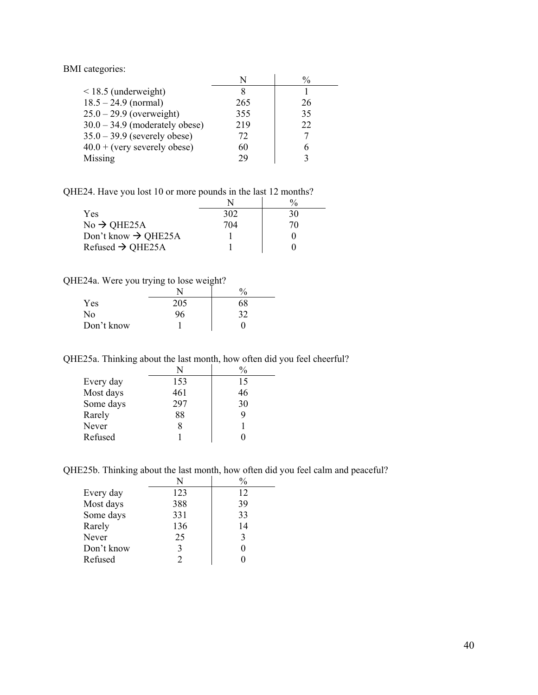BMI categories:

|                                  |     | $\frac{0}{0}$ |
|----------------------------------|-----|---------------|
| $\leq$ 18.5 (underweight)        |     |               |
| $18.5 - 24.9$ (normal)           | 265 | 26            |
| $25.0 - 29.9$ (overweight)       | 355 | 35            |
| $30.0 - 34.9$ (moderately obese) | 219 | 22            |
| $35.0 - 39.9$ (severely obese)   | 72. |               |
| $40.0 + (very severely obese)$   | 60  |               |
| Missing                          | 29  |               |

QHE24. Have you lost 10 or more pounds in the last 12 months?

| <b>Yes</b>                      | 302 | 30 |
|---------------------------------|-----|----|
| $No \rightarrow QHE25A$         | 704 | 70 |
| Don't know $\rightarrow$ QHE25A |     |    |
| Refused $\rightarrow$ QHE25A    |     |    |

QHE24a. Were you trying to lose weight?

|                |     | $\%$ |
|----------------|-----|------|
| Yes            | 205 | 68   |
| N <sub>o</sub> | 96  | 32   |
| Don't know     |     |      |

QHE25a. Thinking about the last month, how often did you feel cheerful?

|           | N   | $\frac{0}{0}$ |
|-----------|-----|---------------|
| Every day | 153 | 15            |
| Most days | 461 | 46            |
| Some days | 297 | 30            |
| Rarely    | 88  |               |
| Never     | 8   |               |
| Refused   |     |               |

QHE25b. Thinking about the last month, how often did you feel calm and peaceful?

|            | N   | $\frac{0}{0}$ |
|------------|-----|---------------|
| Every day  | 123 | 12            |
| Most days  | 388 | 39            |
| Some days  | 331 | 33            |
| Rarely     | 136 | 14            |
| Never      | 25  | 3             |
| Don't know | 3   |               |
| Refused    |     |               |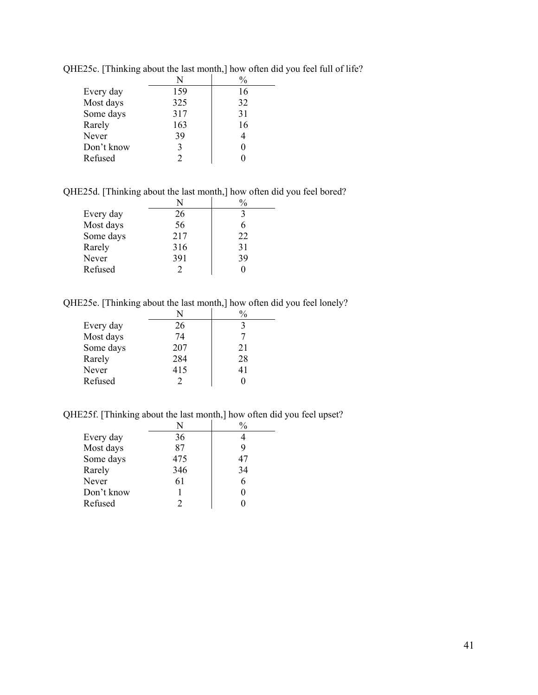|            | N   |    |
|------------|-----|----|
| Every day  | 159 | 16 |
| Most days  | 325 | 32 |
| Some days  | 317 | 31 |
| Rarely     | 163 | 16 |
| Never      | 39  |    |
| Don't know | 3   | 0  |
| Refused    |     |    |

QHE25c. [Thinking about the last month,] how often did you feel full of life?

QHE25d. [Thinking about the last month,] how often did you feel bored?

| Every day | 26  |    |
|-----------|-----|----|
| Most days | 56  |    |
| Some days | 217 | 22 |
| Rarely    | 316 | 31 |
| Never     | 391 | 39 |
| Refused   | 2   |    |

QHE25e. [Thinking about the last month,] how often did you feel lonely?

|           | N   | $\frac{0}{0}$ |
|-----------|-----|---------------|
| Every day | 26  |               |
| Most days | 74  |               |
| Some days | 207 | 21            |
| Rarely    | 284 | 28            |
| Never     | 415 | 41            |
| Refused   |     |               |
|           |     |               |

QHE25f. [Thinking about the last month,] how often did you feel upset?

|            | N   |    |
|------------|-----|----|
| Every day  | 36  |    |
| Most days  | 87  |    |
| Some days  | 475 | 47 |
| Rarely     | 346 | 34 |
| Never      | 61  |    |
| Don't know |     |    |
| Refused    |     |    |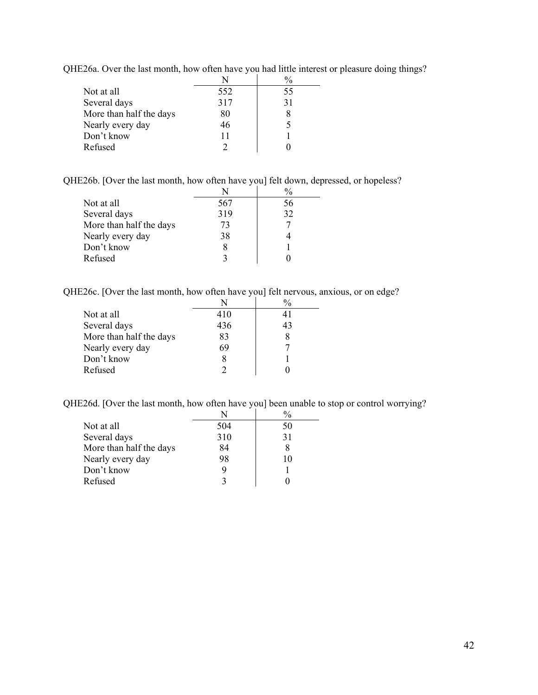QHE26a. Over the last month, how often have you had little interest or pleasure doing things?

| Not at all              | 552 | 55 |
|-------------------------|-----|----|
| Several days            | 317 | 31 |
| More than half the days | 80  |    |
| Nearly every day        | 46  |    |
| Don't know              | 11  |    |
| Refused                 |     |    |

QHE26b. [Over the last month, how often have you] felt down, depressed, or hopeless?

|                         |     | $\frac{0}{0}$ |
|-------------------------|-----|---------------|
| Not at all              | 567 | 56            |
| Several days            | 319 | 32            |
| More than half the days | 73  |               |
| Nearly every day        | 38  |               |
| Don't know              |     |               |
| Refused                 |     |               |

QHE26c. [Over the last month, how often have you] felt nervous, anxious, or on edge?

|                         |     | $\frac{0}{0}$ |
|-------------------------|-----|---------------|
| Not at all              | 410 | 41            |
| Several days            | 436 | 43            |
| More than half the days | 83  |               |
| Nearly every day        | 69  |               |
| Don't know              |     |               |
| Refused                 |     |               |

QHE26d. [Over the last month, how often have you] been unable to stop or control worrying?

| 504<br>Not at all<br>50       |              |     |    |
|-------------------------------|--------------|-----|----|
|                               |              |     |    |
|                               | Several days | 310 | 31 |
| More than half the days<br>84 |              |     |    |
| Nearly every day<br>98<br>10  |              |     |    |
| Don't know                    |              |     |    |
| Refused                       |              |     |    |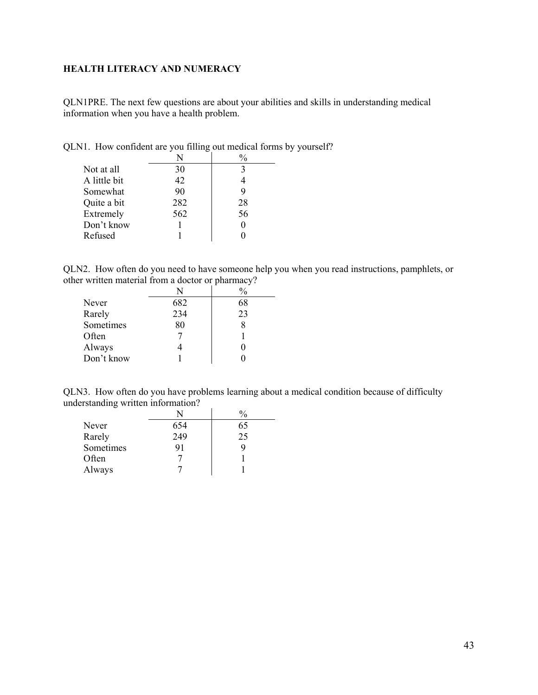## <span id="page-42-0"></span>**HEALTH LITERACY AND NUMERACY**

QLN1PRE. The next few questions are about your abilities and skills in understanding medical information when you have a health problem.

| Not at all   | 30  |    |
|--------------|-----|----|
| A little bit | 42  |    |
| Somewhat     | 90  | 9  |
| Quite a bit  | 282 | 28 |
| Extremely    | 562 | 56 |
| Don't know   |     |    |
| Refused      |     |    |

QLN1. How confident are you filling out medical forms by yourself?

QLN2. How often do you need to have someone help you when you read instructions, pamphlets, or other written material from a doctor or pharmacy?

|            | N   | -<br>$\%$ |
|------------|-----|-----------|
| Never      | 682 | 68        |
| Rarely     | 234 | 23        |
| Sometimes  | 80  |           |
| Often      |     |           |
| Always     |     |           |
| Don't know |     |           |

QLN3. How often do you have problems learning about a medical condition because of difficulty understanding written information?

 $\overline{\phantom{a}}$ 

|           |     | $\frac{0}{0}$ |
|-----------|-----|---------------|
| Never     | 654 | 65            |
| Rarely    | 249 | 25            |
| Sometimes | 91  |               |
| Often     |     |               |
| Always    |     |               |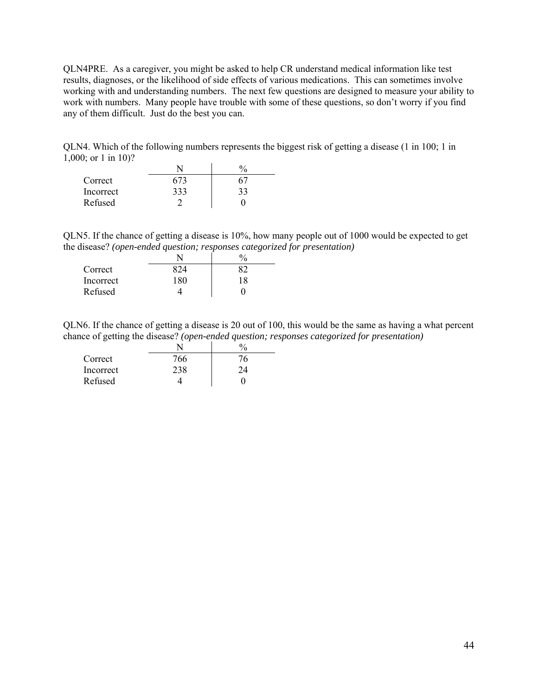QLN4PRE. As a caregiver, you might be asked to help CR understand medical information like test results, diagnoses, or the likelihood of side effects of various medications. This can sometimes involve working with and understanding numbers. The next few questions are designed to measure your ability to work with numbers. Many people have trouble with some of these questions, so don't worry if you find any of them difficult. Just do the best you can.

QLN4. Which of the following numbers represents the biggest risk of getting a disease (1 in 100; 1 in 1,000; or 1 in 10)?

| Correct   |     |    |
|-----------|-----|----|
| Incorrect | 333 | 33 |
| Refused   |     |    |

QLN5. If the chance of getting a disease is 10%, how many people out of 1000 would be expected to get the disease? *(open-ended question; responses categorized for presentation)*

|           |       | 0. |
|-----------|-------|----|
| Correct   |       |    |
| Incorrect | 1 R N | 18 |
| Refused   |       |    |

QLN6. If the chance of getting a disease is 20 out of 100, this would be the same as having a what percent chance of getting the disease? *(open-ended question; responses categorized for presentation)*

|           |     | v. |
|-----------|-----|----|
| Correct   | 766 |    |
| Incorrect |     |    |
| Refused   |     |    |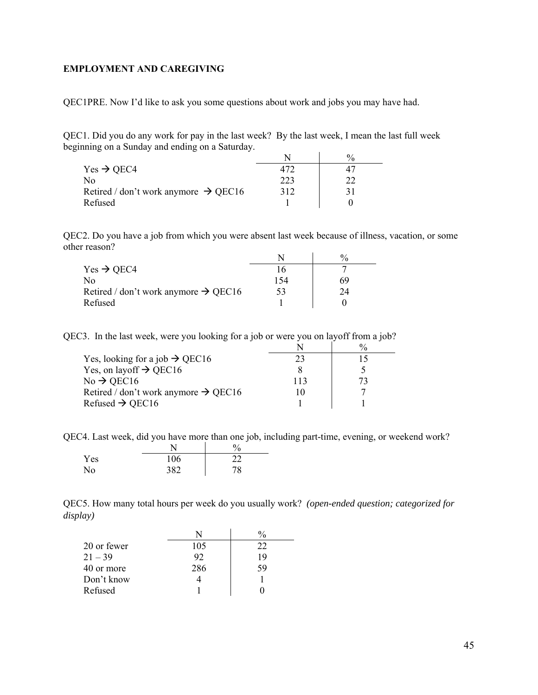#### <span id="page-44-0"></span>**EMPLOYMENT AND CAREGIVING**

QEC1PRE. Now I'd like to ask you some questions about work and jobs you may have had.

QEC1. Did you do any work for pay in the last week? By the last week, I mean the last full week beginning on a Sunday and ending on a Saturday.

|                                                  |     | $\frac{0}{0}$ |
|--------------------------------------------------|-----|---------------|
| $Yes \rightarrow OEC4$                           |     |               |
| Nο                                               | 223 |               |
| Retired / don't work anymore $\rightarrow$ QEC16 | 312 |               |
| Refused                                          |     |               |

QEC2. Do you have a job from which you were absent last week because of illness, vacation, or some other reason?

| $Yes \rightarrow OEC4$                           |     |    |
|--------------------------------------------------|-----|----|
| No                                               | 154 | 69 |
| Retired / don't work anymore $\rightarrow$ QEC16 | 53  | 24 |
| Refused                                          |     |    |

QEC3. In the last week, were you looking for a job or were you on layoff from a job?

| Yes, looking for a job $\rightarrow$ QEC16       |     |  |
|--------------------------------------------------|-----|--|
| Yes, on layoff $\rightarrow$ QEC16               |     |  |
| $No \rightarrow$ QEC16                           | 113 |  |
| Retired / don't work anymore $\rightarrow$ QEC16 |     |  |
| Refused $\rightarrow$ QEC16                      |     |  |

QEC4. Last week, did you have more than one job, including part-time, evening, or weekend work?

|     |     | $\%$ |
|-----|-----|------|
| Yes | 106 | 22   |
| No  | 382 | 78   |

QEC5. How many total hours per week do you usually work? *(open-ended question; categorized for display)* 

| 20 or fewer | 105 | 22 |
|-------------|-----|----|
| $21 - 39$   | 92  | 19 |
| 40 or more  | 286 | 59 |
| Don't know  |     |    |
| Refused     |     |    |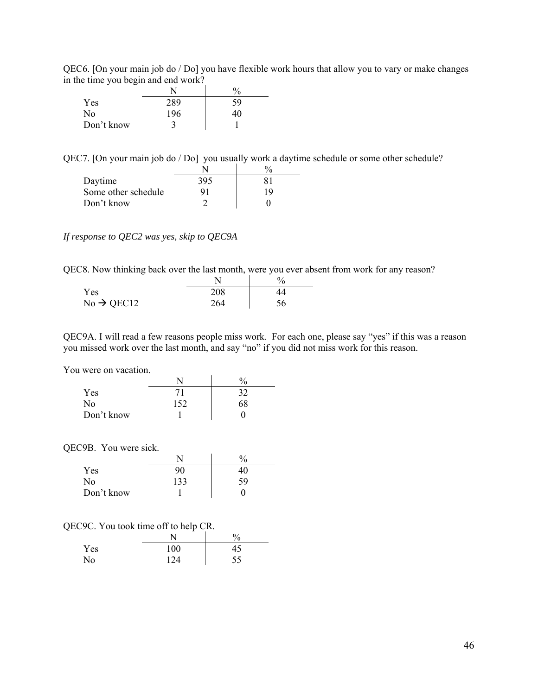QEC6. [On your main job do / Do] you have flexible work hours that allow you to vary or make changes in the time you begin and end work?

| $\frac{1}{2}$ and $\frac{1}{2}$ and $\frac{1}{2}$ and $\frac{1}{2}$ and $\frac{1}{2}$ |     |               |
|---------------------------------------------------------------------------------------|-----|---------------|
|                                                                                       |     | $\frac{0}{0}$ |
| Yes                                                                                   | 289 | 59            |
| No                                                                                    | 196 | 40            |
| Don't know                                                                            |     |               |
|                                                                                       |     |               |

QEC7. [On your main job do / Do] you usually work a daytime schedule or some other schedule?

| Daytime             | 395 |    |
|---------------------|-----|----|
| Some other schedule |     | 19 |
| Don't know          |     |    |

*If response to QEC2 was yes, skip to QEC9A* 

QEC8. Now thinking back over the last month, were you ever absent from work for any reason?

| Yes                    | 208 |    |
|------------------------|-----|----|
| $No \rightarrow QEC12$ | 264 | 56 |

QEC9A. I will read a few reasons people miss work. For each one, please say "yes" if this was a reason you missed work over the last month, and say "no" if you did not miss work for this reason.

You were on vacation.

|            | N   | $\frac{0}{0}$ |
|------------|-----|---------------|
| Yes        |     | 32            |
| No         | 152 | 68            |
| Don't know |     |               |

QEC9B. You were sick.

|            |     | 0/2 |
|------------|-----|-----|
| Yes        | 90  |     |
| No         | 133 | 59  |
| Don't know |     |     |

|                | ÷   | $\%$ |
|----------------|-----|------|
| Yes            | 100 | 45   |
| N <sub>o</sub> | 124 | 55   |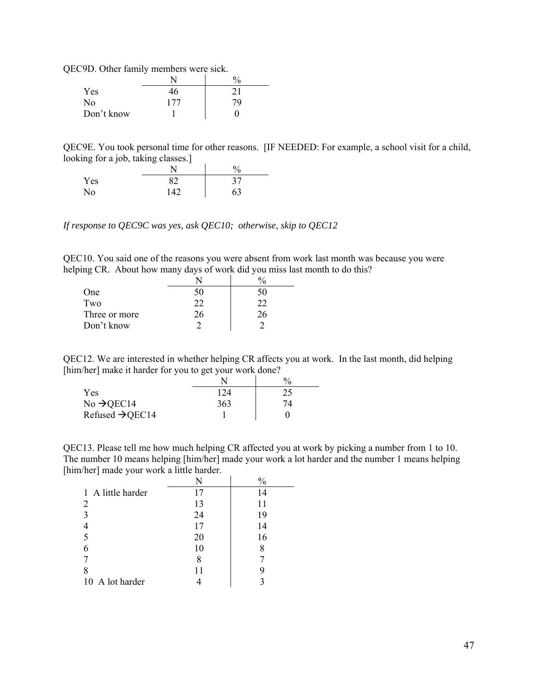QEC9D. Other family members were sick.

|            |     | $^{0}\!/_{0}$ |
|------------|-----|---------------|
| Yes        | 46  | 21            |
| No         | 177 | 79            |
| Don't know |     |               |

QEC9E. You took personal time for other reasons. [IF NEEDED: For example, a school visit for a child, looking for a job, taking classes.]

|     |     | 0/<br>Ό |
|-----|-----|---------|
| Yes | 82  | 37      |
| No  | 142 | 63      |

*If response to QEC9C was yes, ask QEC10; otherwise, skip to QEC12* 

QEC10. You said one of the reasons you were absent from work last month was because you were helping CR. About how many days of work did you miss last month to do this?

| One           | 50 | า() |
|---------------|----|-----|
| Two           | 22 | つつ  |
| Three or more | ۷b | 'n  |
| Don't know    |    |     |

QEC12. We are interested in whether helping CR affects you at work. In the last month, did helping [him/her] make it harder for you to get your work done?

|                             |     | $\%$ |
|-----------------------------|-----|------|
| Yes                         | 124 | 25   |
| No $\rightarrow$ QEC14      | 363 | 74   |
| Refused $\rightarrow$ QEC14 |     |      |

QEC13. Please tell me how much helping CR affected you at work by picking a number from 1 to 10. The number 10 means helping [him/her] made your work a lot harder and the number 1 means helping [him/her] made your work a little harder.

|                   | N  | $\frac{0}{0}$ |
|-------------------|----|---------------|
| 1 A little harder | 17 | 14            |
| 2                 | 13 | 11            |
| 3                 | 24 | 19            |
|                   | 17 | 14            |
| 5                 | 20 | 16            |
|                   | 10 | 8             |
|                   | 8  |               |
| 8                 |    | y             |
| 10 A lot harder   |    |               |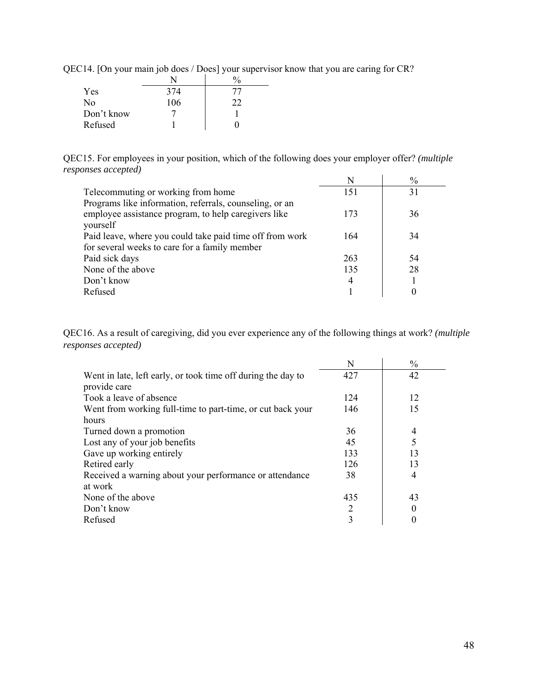| Yes        | 374 |    |
|------------|-----|----|
| No         | 106 | つつ |
| Don't know |     |    |
| Refused    |     |    |

QEC14. [On your main job does / Does] your supervisor know that you are caring for CR?

QEC15. For employees in your position, which of the following does your employer offer? *(multiple responses accepted)*  $N$   $\downarrow$   $\frac{0}{0}$ 

|                                                                                                                 |     | $\%$ |
|-----------------------------------------------------------------------------------------------------------------|-----|------|
| Telecommuting or working from home                                                                              | 151 | 31   |
| Programs like information, referrals, counseling, or an<br>employee assistance program, to help caregivers like | 173 | 36   |
| yourself                                                                                                        |     |      |
| Paid leave, where you could take paid time off from work                                                        | 164 | 34   |
| for several weeks to care for a family member                                                                   |     |      |
| Paid sick days                                                                                                  | 263 | 54   |
| None of the above                                                                                               | 135 | 28   |
| Don't know                                                                                                      | 4   |      |
| Refused                                                                                                         |     |      |

QEC16. As a result of caregiving, did you ever experience any of the following things at work? *(multiple responses accepted)*

|                                                              | N   | $\frac{0}{0}$ |
|--------------------------------------------------------------|-----|---------------|
| Went in late, left early, or took time off during the day to | 427 | 42            |
| provide care                                                 |     |               |
| Took a leave of absence                                      | 124 | 12            |
| Went from working full-time to part-time, or cut back your   | 146 | 15            |
| hours                                                        |     |               |
| Turned down a promotion                                      | 36  | 4             |
| Lost any of your job benefits                                | 45  | 5             |
| Gave up working entirely                                     | 133 | 13            |
| Retired early                                                | 126 | 13            |
| Received a warning about your performance or attendance      | 38  | 4             |
| at work                                                      |     |               |
| None of the above                                            | 435 | 43            |
| Don't know                                                   | 2   | 0             |
| Refused                                                      | 3   | 0             |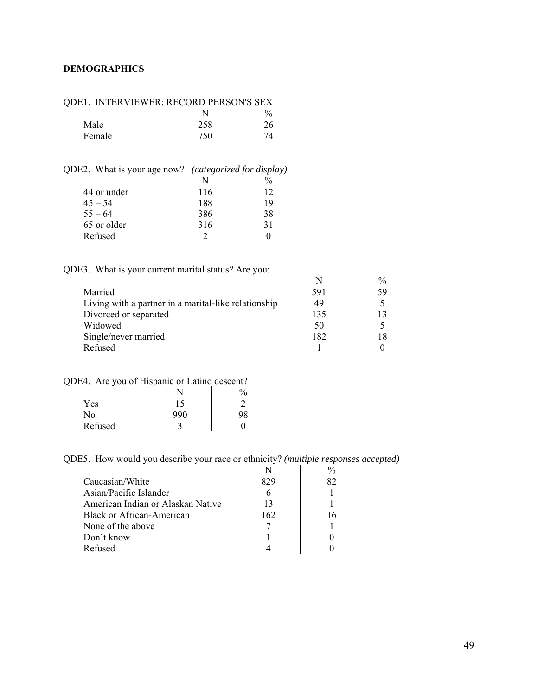### <span id="page-48-0"></span>**DEMOGRAPHICS**

| JDEI. INTERVIEWER. RECORD FERSON'S SEA |     |  |
|----------------------------------------|-----|--|
|                                        |     |  |
| Male                                   |     |  |
| Female                                 | 750 |  |

QDE1. INTERVIEWER: RECORD PERSON'S SEX

QDE2. What is your age now? *(categorized for display)* 

| 44 or under | 116 | 12 |
|-------------|-----|----|
| $45 - 54$   | 188 | 19 |
| $55 - 64$   | 386 | 38 |
| 65 or older | 316 | 31 |
| Refused     |     |    |

QDE3. What is your current marital status? Are you:

| $\sim$ . That is four various matrix states. The four |     |               |
|-------------------------------------------------------|-----|---------------|
|                                                       |     | $\frac{0}{0}$ |
| Married                                               | 591 | 59            |
| Living with a partner in a marital-like relationship  | 49  |               |
| Divorced or separated                                 | 135 |               |
| Widowed                                               | 50  |               |
| Single/never married                                  | 182 | 18            |
| Refused                                               |     |               |
|                                                       |     |               |

QDE4. Are you of Hispanic or Latino descent?

|         | $\sim$ | $\mathbf{0}$<br>′0 |
|---------|--------|--------------------|
| Yes     | 15     |                    |
| No      | 990    | 98                 |
| Refused |        |                    |

QDE5. How would you describe your race or ethnicity? *(multiple responses accepted)* 

| Caucasian/White                   | 829 |    |
|-----------------------------------|-----|----|
| Asian/Pacific Islander            |     |    |
| American Indian or Alaskan Native | 13  |    |
| Black or African-American         | 162 | 16 |
| None of the above                 |     |    |
| Don't know                        |     |    |
| Refused                           |     |    |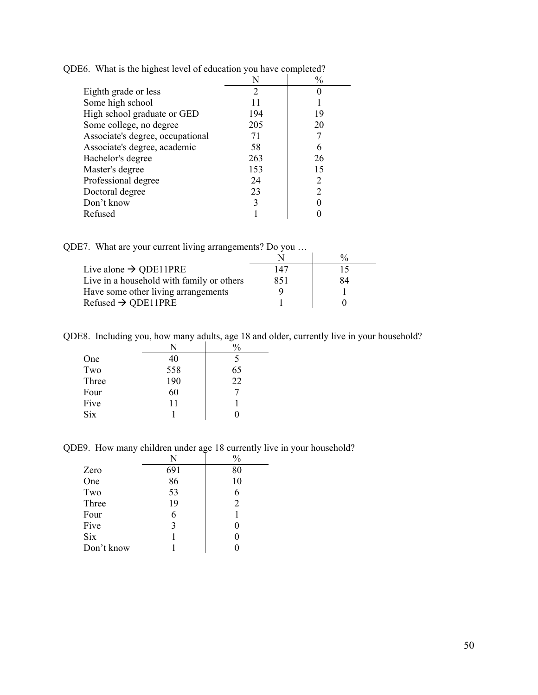|                                  |                                                                                                                                                                 | $\frac{0}{0}$ |
|----------------------------------|-----------------------------------------------------------------------------------------------------------------------------------------------------------------|---------------|
| Eighth grade or less             | $\mathcal{D}_{\mathcal{A}}^{\mathcal{A}}(\mathcal{A})=\mathcal{D}_{\mathcal{A}}^{\mathcal{A}}(\mathcal{A})\mathcal{D}_{\mathcal{A}}^{\mathcal{A}}(\mathcal{A})$ |               |
| Some high school                 |                                                                                                                                                                 |               |
| High school graduate or GED      | 194                                                                                                                                                             | 19            |
| Some college, no degree          | 205                                                                                                                                                             | 20            |
| Associate's degree, occupational | 71                                                                                                                                                              |               |
| Associate's degree, academic     | 58                                                                                                                                                              | 6             |
| Bachelor's degree                | 263                                                                                                                                                             | 26            |
| Master's degree                  | 153                                                                                                                                                             | 15            |
| Professional degree              | 24                                                                                                                                                              | 2             |
| Doctoral degree                  | 23                                                                                                                                                              |               |
| Don't know                       |                                                                                                                                                                 |               |
| Refused                          |                                                                                                                                                                 |               |

QDE6. What is the highest level of education you have completed?

QDE7. What are your current living arrangements? Do you …

|                                           |     | $\frac{0}{0}$ |
|-------------------------------------------|-----|---------------|
| Live alone $\rightarrow$ QDE11PRE         | 147 | 15            |
| Live in a household with family or others | 851 | 84            |
| Have some other living arrangements       |     |               |
| Refused $\rightarrow$ QDE11PRE            |     |               |

QDE8. Including you, how many adults, age 18 and older, currently live in your household?

|       | N   | $\frac{0}{0}$ |
|-------|-----|---------------|
| One   | 40  | 5             |
| Two   | 558 | 65            |
| Three | 190 | 22            |
| Four  | 60  |               |
| Five  | 11  |               |
| Six   |     |               |

QDE9. How many children under age 18 currently live in your household?

|            | N   | $\frac{0}{0}$  |
|------------|-----|----------------|
| Zero       | 691 | 80             |
| One        | 86  | 10             |
| Two        | 53  |                |
| Three      | 19  | $\mathfrak{D}$ |
| Four       | 6   |                |
| Five       | 3   |                |
| <b>Six</b> |     |                |
| Don't know |     |                |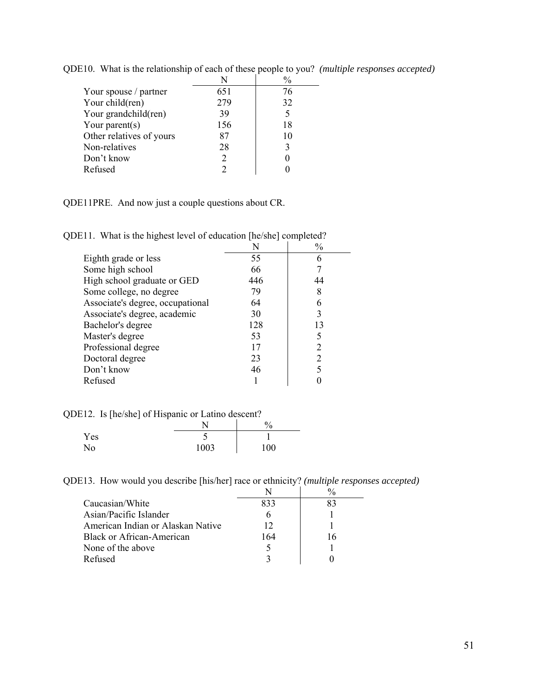|                          | N                           | $\frac{0}{0}$ |
|--------------------------|-----------------------------|---------------|
| Your spouse / partner    | 651                         | 76            |
| Your child(ren)          | 279                         | 32            |
| Your grandchild(ren)     | 39                          | 5             |
| Your parent $(s)$        | 156                         | 18            |
| Other relatives of yours | 87                          | 10            |
| Non-relatives            | 28                          | 3             |
| Don't know               | $\mathcal{D}_{\mathcal{A}}$ |               |
| Refused                  | າ                           |               |

QDE10. What is the relationship of each of these people to you? *(multiple responses accepted)* 

QDE11PRE. And now just a couple questions about CR.

QDE11. What is the highest level of education [he/she] completed?

|     | $\frac{0}{0}$ |
|-----|---------------|
| 55  | 6             |
| 66  |               |
| 446 | 44            |
| 79  | 8             |
| 64  | 6             |
| 30  | 3             |
| 128 | 13            |
| 53  |               |
| 17  | 2             |
| 23  |               |
| 46  |               |
|     |               |
|     |               |

QDE12. Is [he/she] of Hispanic or Latino descent?

|     |      | 0/<br>70 |
|-----|------|----------|
| Yes | ٮ    |          |
| No. | 1003 | 100      |

QDE13. How would you describe [his/her] race or ethnicity? *(multiple responses accepted)*

|                                   |     | $\frac{0}{0}$ |
|-----------------------------------|-----|---------------|
| Caucasian/White                   | 833 | 83            |
| Asian/Pacific Islander            |     |               |
| American Indian or Alaskan Native | 12  |               |
| Black or African-American         | 164 | 16            |
| None of the above                 |     |               |
| Refused                           |     |               |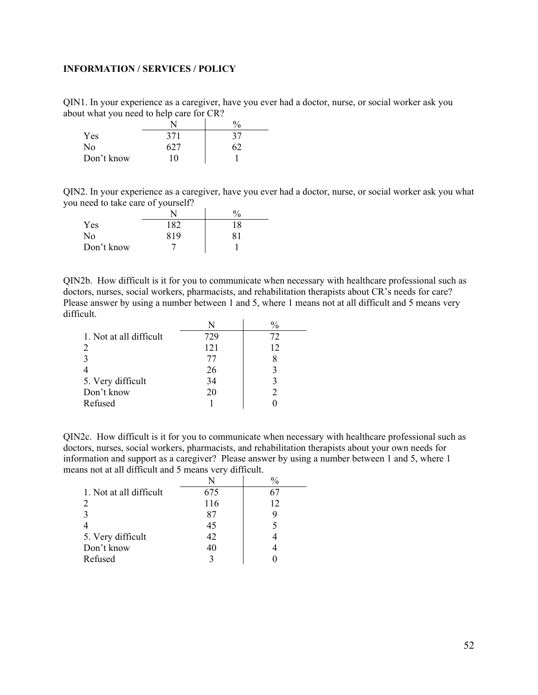#### <span id="page-51-0"></span>**INFORMATION / SERVICES / POLICY**

QIN1. In your experience as a caregiver, have you ever had a doctor, nurse, or social worker ask you about what you need to help care for CR?

|            |     | $\frac{0}{0}$ |
|------------|-----|---------------|
| Yes        | 371 | 37            |
| No         | 627 |               |
| Don't know | 10  |               |

QIN2. In your experience as a caregiver, have you ever had a doctor, nurse, or social worker ask you what you need to take care of yourself?

|            |     | $\%$ |
|------------|-----|------|
| Yes        | 182 | 18   |
| No         | 819 | 81   |
| Don't know |     |      |

QIN2b. How difficult is it for you to communicate when necessary with healthcare professional such as doctors, nurses, social workers, pharmacists, and rehabilitation therapists about CR's needs for care? Please answer by using a number between 1 and 5, where 1 means not at all difficult and 5 means very difficult.

|                         | N   |    |
|-------------------------|-----|----|
| 1. Not at all difficult | 729 | 72 |
|                         | 121 | 12 |
|                         | 77  |    |
|                         | 26  |    |
| 5. Very difficult       | 34  |    |
| Don't know              | 20  |    |
| Refused                 |     |    |

QIN2c. How difficult is it for you to communicate when necessary with healthcare professional such as doctors, nurses, social workers, pharmacists, and rehabilitation therapists about your own needs for information and support as a caregiver? Please answer by using a number between 1 and 5, where 1 means not at all difficult and 5 means very difficult.

|                         | N   | $\frac{0}{0}$ |
|-------------------------|-----|---------------|
| 1. Not at all difficult | 675 | 67            |
| 2                       | 116 | 12            |
|                         | 87  |               |
|                         | 45  |               |
| 5. Very difficult       | 42  |               |
| Don't know              | 40  |               |
| Refused                 |     |               |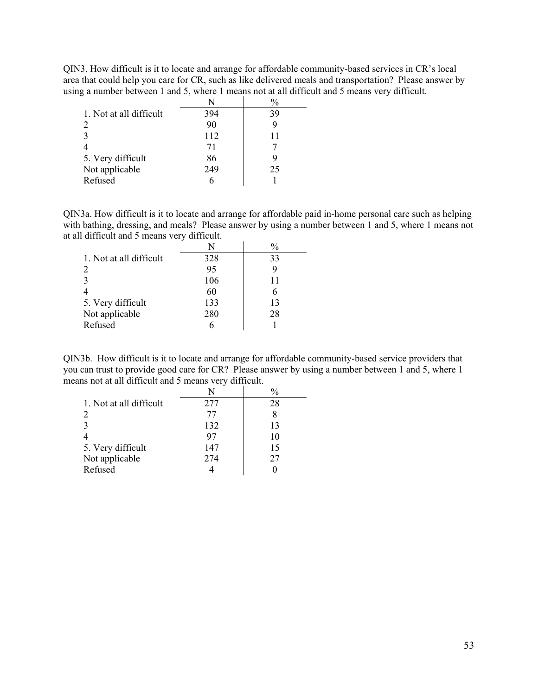QIN3. How difficult is it to locate and arrange for affordable community-based services in CR's local area that could help you care for CR, such as like delivered meals and transportation? Please answer by using a number between 1 and 5, where 1 means not at all difficult and 5 means very difficult.

|                             | N   |    |
|-----------------------------|-----|----|
| 1. Not at all difficult     | 394 | 39 |
| $\mathcal{D}_{\mathcal{L}}$ | 90  |    |
|                             | 112 | 11 |
|                             | 71  |    |
| 5. Very difficult           | 86  |    |
| Not applicable              | 249 | 25 |
| Refused                     |     |    |

QIN3a. How difficult is it to locate and arrange for affordable paid in-home personal care such as helping with bathing, dressing, and meals? Please answer by using a number between 1 and 5, where 1 means not at all difficult and 5 means very difficult.

|                         |     | $\frac{0}{0}$ |
|-------------------------|-----|---------------|
| 1. Not at all difficult | 328 | 33            |
| 2                       | 95  |               |
|                         | 106 | 11            |
|                         | 60  | h             |
| 5. Very difficult       | 133 | 13            |
| Not applicable          | 280 | 28            |
| Refused                 |     |               |

QIN3b. How difficult is it to locate and arrange for affordable community-based service providers that you can trust to provide good care for CR? Please answer by using a number between 1 and 5, where 1 means not at all difficult and 5 means very difficult.

|                             | N   | $\frac{0}{0}$ |
|-----------------------------|-----|---------------|
| 1. Not at all difficult     | 277 | 28            |
| $\mathcal{D}_{\mathcal{L}}$ | 77  |               |
|                             | 132 | 13            |
|                             | 97  | 10            |
| 5. Very difficult           | 147 | 15            |
| Not applicable              | 274 | 27            |
| Refused                     |     |               |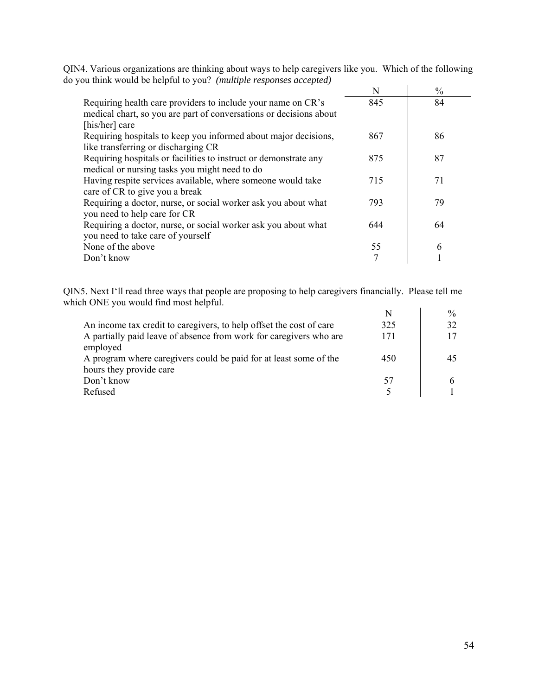|                                                                                                                                                      | N   | $\frac{0}{0}$ |
|------------------------------------------------------------------------------------------------------------------------------------------------------|-----|---------------|
| Requiring health care providers to include your name on CR's<br>medical chart, so you are part of conversations or decisions about<br>[his/her] care | 845 | 84            |
| Requiring hospitals to keep you informed about major decisions,<br>like transferring or discharging CR                                               | 867 | 86            |
| Requiring hospitals or facilities to instruct or demonstrate any<br>medical or nursing tasks you might need to do                                    | 875 | 87            |
| Having respite services available, where someone would take<br>care of CR to give you a break                                                        | 715 | 71            |
| Requiring a doctor, nurse, or social worker ask you about what<br>you need to help care for CR                                                       | 793 | 79            |
| Requiring a doctor, nurse, or social worker ask you about what<br>you need to take care of yourself                                                  | 644 | 64            |
| None of the above                                                                                                                                    | 55  | 6             |
| Don't know                                                                                                                                           | 7   |               |

QIN4. Various organizations are thinking about ways to help caregivers like you. Which of the following do you think would be helpful to you? *(multiple responses accepted)* 

QIN5. Next I'll read three ways that people are proposing to help caregivers financially. Please tell me which ONE you would find most helpful.

|                                                                                |     | $\frac{0}{0}$ |
|--------------------------------------------------------------------------------|-----|---------------|
| An income tax credit to caregivers, to help offset the cost of care            | 325 |               |
| A partially paid leave of absence from work for caregivers who are<br>employed | 171 |               |
| A program where caregivers could be paid for at least some of the              | 450 | 45            |
| hours they provide care                                                        |     |               |
| Don't know                                                                     |     |               |
| Refused                                                                        |     |               |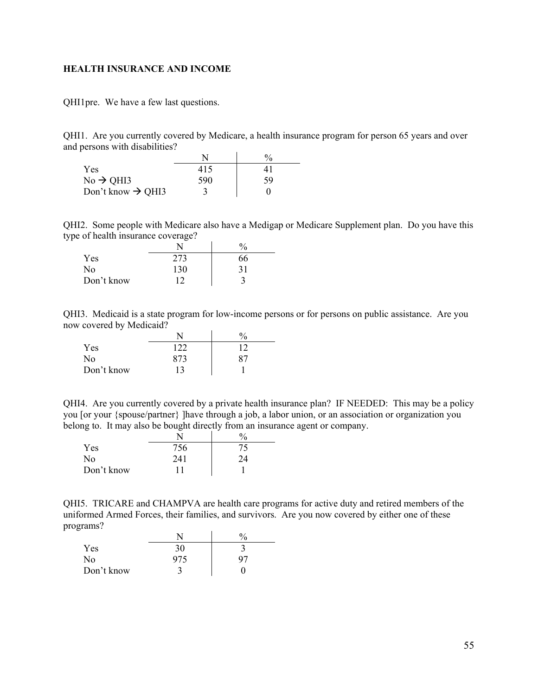#### <span id="page-54-0"></span>**HEALTH INSURANCE AND INCOME**

QHI1pre. We have a few last questions.

QHI1. Are you currently covered by Medicare, a health insurance program for person 65 years and over and persons with disabilities?

|                               |     | $\frac{0}{0}$ |
|-------------------------------|-----|---------------|
| <b>Yes</b>                    | 415 |               |
| $No \rightarrow QHI3$         | 590 | 59            |
| Don't know $\rightarrow$ QHI3 |     |               |

QHI2. Some people with Medicare also have a Medigap or Medicare Supplement plan. Do you have this type of health insurance coverage?

|            | _   | 70 |
|------------|-----|----|
| Yes        | 273 | 66 |
| No         | 130 | 31 |
| Don't know |     |    |

QHI3. Medicaid is a state program for low-income persons or for persons on public assistance. Are you now covered by Medicaid?

|            |     | $\frac{0}{0}$ |
|------------|-----|---------------|
| Yes        | 122 | 12            |
| No         | 873 | 87            |
| Don't know | 13  |               |

QHI4. Are you currently covered by a private health insurance plan? IF NEEDED: This may be a policy you [or your {spouse/partner} ]have through a job, a labor union, or an association or organization you belong to. It may also be bought directly from an insurance agent or company.

|            |     | $^{0}\!/_{0}$ |
|------------|-----|---------------|
| Yes        | 756 | 75.           |
| No         | 241 | 24            |
| Don't know |     |               |

QHI5. TRICARE and CHAMPVA are health care programs for active duty and retired members of the uniformed Armed Forces, their families, and survivors. Are you now covered by either one of these programs?

|            |     | $\frac{0}{0}$ |
|------------|-----|---------------|
| Yes        | 30  |               |
| No         | 975 | 97            |
| Don't know |     |               |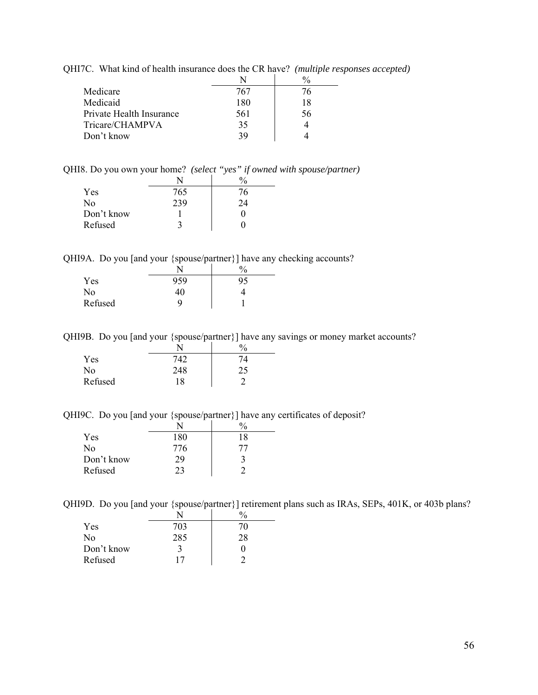QHI7C. What kind of health insurance does the CR have? *(multiple responses accepted)* 

|                          |     | $\frac{0}{0}$ |
|--------------------------|-----|---------------|
| Medicare                 | 767 | 76            |
| Medicaid                 | 180 | 18            |
| Private Health Insurance | 561 | 56            |
| Tricare/CHAMPVA          | 35  |               |
| Don't know               | 39  |               |

QHI8. Do you own your home? *(select "yes" if owned with spouse/partner)* 

| Yes            | 765 | 76 |
|----------------|-----|----|
| N <sub>0</sub> | 239 | 24 |
| Don't know     |     | 0  |
| Refused        | 3   | וו |

QHI9A. Do you [and your {spouse/partner}] have any checking accounts?

|         |     | $\%$ |
|---------|-----|------|
| Yes     | 959 | 95   |
| No      | 40  |      |
| Refused |     |      |

QHI9B. Do you [and your {spouse/partner}] have any savings or money market accounts?

|         | _   | $\mathbf{0}$<br>′Ο |
|---------|-----|--------------------|
| Yes     | 742 |                    |
| No      | 248 | つく<br>ر ے          |
| Refused | 18  |                    |

QHI9C. Do you [and your {spouse/partner}] have any certificates of deposit?

| Yes            | 180 | 18 |
|----------------|-----|----|
| N <sub>0</sub> | 776 |    |
| Don't know     | 29  | 3  |
| Refused        | 23  |    |

QHI9D. Do you [and your {spouse/partner}] retirement plans such as IRAs, SEPs, 401K, or 403b plans?

| Yes        | 703 | 70 |
|------------|-----|----|
| No         | 285 | 28 |
| Don't know | 3   | 0  |
| Refused    | 17  |    |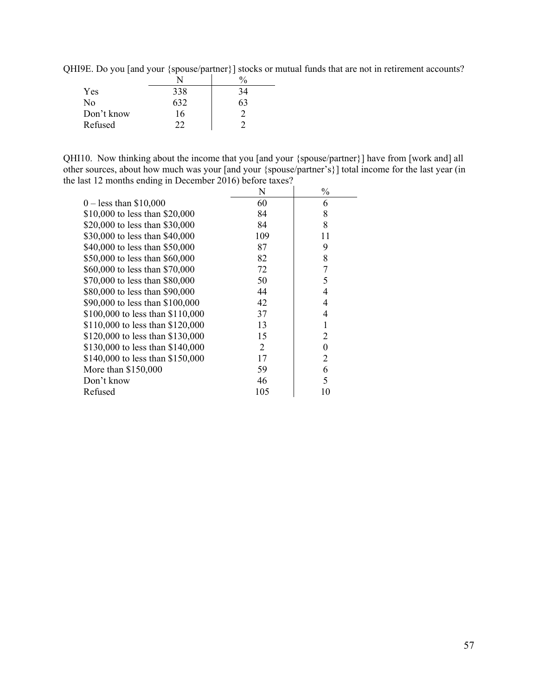QHI9E. Do you [and your {spouse/partner}] stocks or mutual funds that are not in retirement accounts?

| Yes            | 338 | 34  |
|----------------|-----|-----|
| N <sub>0</sub> | 632 | h i |
| Don't know     | 16  |     |
| Refused        | າາ  |     |

QHI10. Now thinking about the income that you [and your {spouse/partner}] have from [work and] all other sources, about how much was your [and your {spouse/partner's}] total income for the last year (in the last 12 months ending in December 2016) before taxes?

|                                  | N   | $\frac{0}{0}$ |
|----------------------------------|-----|---------------|
| $0 -$ less than \$10,000         | 60  | 6             |
| \$10,000 to less than \$20,000   | 84  | 8             |
| \$20,000 to less than \$30,000   | 84  | 8             |
| \$30,000 to less than \$40,000   | 109 | 11            |
| \$40,000 to less than \$50,000   | 87  | 9             |
| \$50,000 to less than \$60,000   | 82  | 8             |
| \$60,000 to less than \$70,000   | 72  |               |
| \$70,000 to less than \$80,000   | 50  | 5             |
| \$80,000 to less than \$90,000   | 44  | 4             |
| \$90,000 to less than \$100,000  | 42  | 4             |
| \$100,000 to less than \$110,000 | 37  | 4             |
| \$110,000 to less than \$120,000 | 13  |               |
| \$120,000 to less than \$130,000 | 15  | 2             |
| \$130,000 to less than \$140,000 | 2   | $\Omega$      |
| \$140,000 to less than \$150,000 | 17  | 2             |
| More than \$150,000              | 59  | 6             |
| Don't know                       | 46  | 5             |
| Refused                          | 105 | 10            |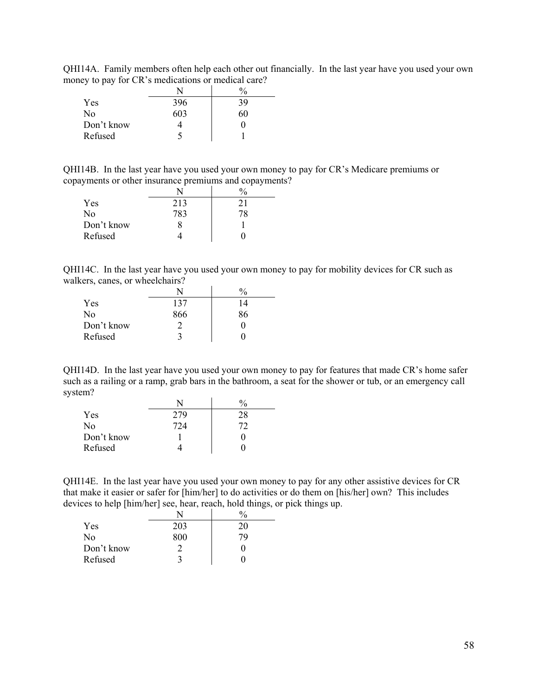QHI14A. Family members often help each other out financially. In the last year have you used your own money to pay for CR's medications or medical care?

|            |     | $\frac{0}{0}$ |
|------------|-----|---------------|
| Yes        | 396 | 39            |
| No         | 603 | 60            |
| Don't know |     |               |
| Refused    |     |               |

QHI14B. In the last year have you used your own money to pay for CR's Medicare premiums or copayments or other insurance premiums and copayments?

| Yes        | 213 | 21 |
|------------|-----|----|
| No         | 783 | 7Χ |
| Don't know |     |    |
| Refused    |     |    |

QHI14C. In the last year have you used your own money to pay for mobility devices for CR such as walkers, canes, or wheelchairs?

| Yes            | 137 | 14 |
|----------------|-----|----|
| N <sub>0</sub> | 866 | 86 |
| Don't know     |     |    |
| Refused        |     |    |

QHI14D. In the last year have you used your own money to pay for features that made CR's home safer such as a railing or a ramp, grab bars in the bathroom, a seat for the shower or tub, or an emergency call system?

|            |     | $\frac{0}{0}$ |
|------------|-----|---------------|
| Yes        | 279 | 28            |
| No         | 724 | 72            |
| Don't know |     |               |
| Refused    |     |               |

QHI14E. In the last year have you used your own money to pay for any other assistive devices for CR that make it easier or safer for [him/her] to do activities or do them on [his/her] own? This includes devices to help [him/her] see, hear, reach, hold things, or pick things up.

|            | N   |    |
|------------|-----|----|
| Yes        | 203 | 20 |
| No         | 800 | 7Q |
| Don't know |     |    |
| Refused    | 3   |    |